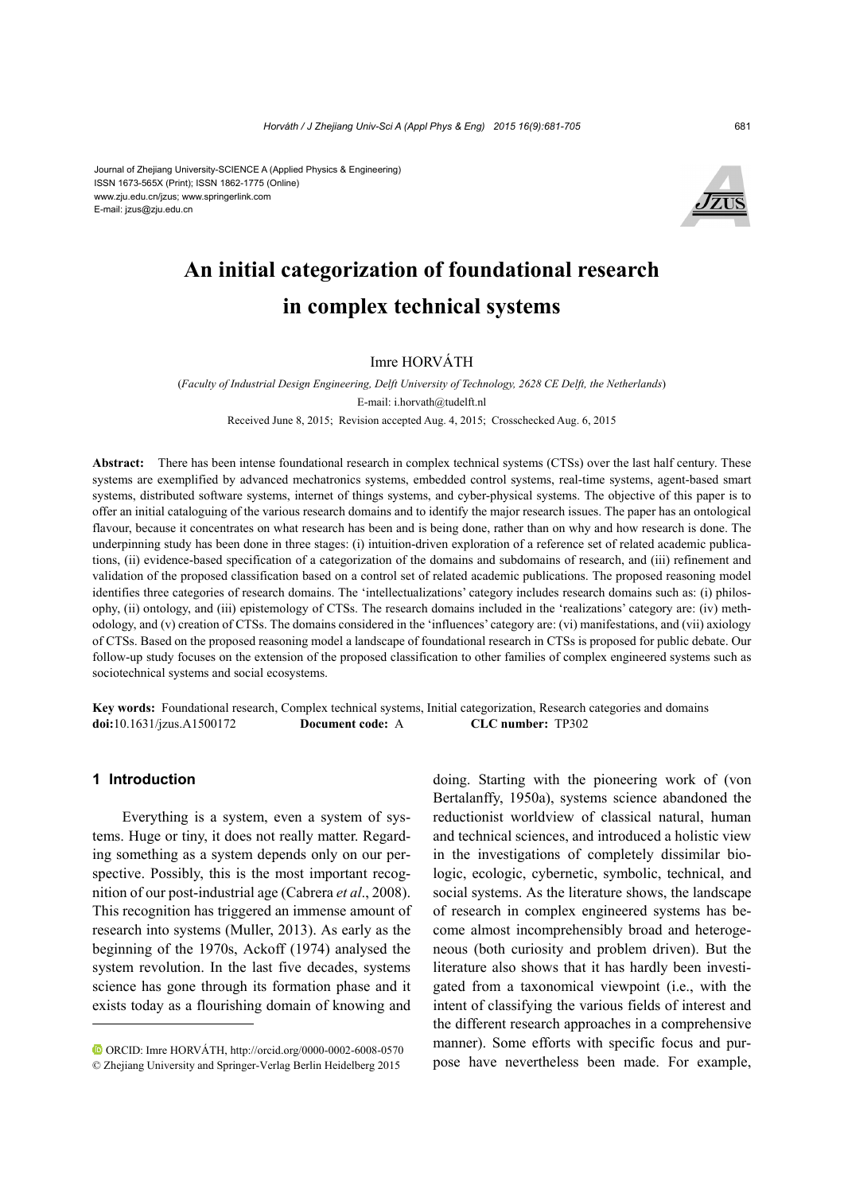

# **An initial categorization of foundational research in complex technical systems**

# Imre HORVÁTH

(*Faculty of Industrial Design Engineering, Delft University of Technology, 2628 CE Delft, the Netherlands*) E-mail: i.horvath@tudelft.nl Received June 8, 2015; Revision accepted Aug. 4, 2015; Crosschecked Aug. 6, 2015

**Abstract:** There has been intense foundational research in complex technical systems (CTSs) over the last half century. These systems are exemplified by advanced mechatronics systems, embedded control systems, real-time systems, agent-based smart systems, distributed software systems, internet of things systems, and cyber-physical systems. The objective of this paper is to offer an initial cataloguing of the various research domains and to identify the major research issues. The paper has an ontological flavour, because it concentrates on what research has been and is being done, rather than on why and how research is done. The underpinning study has been done in three stages: (i) intuition-driven exploration of a reference set of related academic publications, (ii) evidence-based specification of a categorization of the domains and subdomains of research, and (iii) refinement and validation of the proposed classification based on a control set of related academic publications. The proposed reasoning model identifies three categories of research domains. The 'intellectualizations' category includes research domains such as: (i) philosophy, (ii) ontology, and (iii) epistemology of CTSs. The research domains included in the 'realizations' category are: (iv) methodology, and (v) creation of CTSs. The domains considered in the 'influences' category are: (vi) manifestations, and (vii) axiology of CTSs. Based on the proposed reasoning model a landscape of foundational research in CTSs is proposed for public debate. Our follow-up study focuses on the extension of the proposed classification to other families of complex engineered systems such as sociotechnical systems and social ecosystems.

**Key words:** Foundational research, Complex technical systems, Initial categorization, Research categories and domains **doi:**10.1631/jzus.A1500172 **Document code:** A **CLC number:** TP302

#### **1 Introduction**

Everything is a system, even a system of systems. Huge or tiny, it does not really matter. Regarding something as a system depends only on our perspective. Possibly, this is the most important recognition of our post-industrial age (Cabrera *et al*., 2008). This recognition has triggered an immense amount of research into systems (Muller, 2013). As early as the beginning of the 1970s, Ackoff (1974) analysed the system revolution. In the last five decades, systems science has gone through its formation phase and it exists today as a flourishing domain of knowing and doing. Starting with the pioneering work of (von Bertalanffy, 1950a), systems science abandoned the reductionist worldview of classical natural, human and technical sciences, and introduced a holistic view in the investigations of completely dissimilar biologic, ecologic, cybernetic, symbolic, technical, and social systems. As the literature shows, the landscape of research in complex engineered systems has become almost incomprehensibly broad and heterogeneous (both curiosity and problem driven). But the literature also shows that it has hardly been investigated from a taxonomical viewpoint (i.e., with the intent of classifying the various fields of interest and the different research approaches in a comprehensive manner). Some efforts with specific focus and purpose have nevertheless been made. For example,

ORCID: Imre HORVÁTH, http://orcid.org/0000-0002-6008-0570 © Zhejiang University and Springer-Verlag Berlin Heidelberg 2015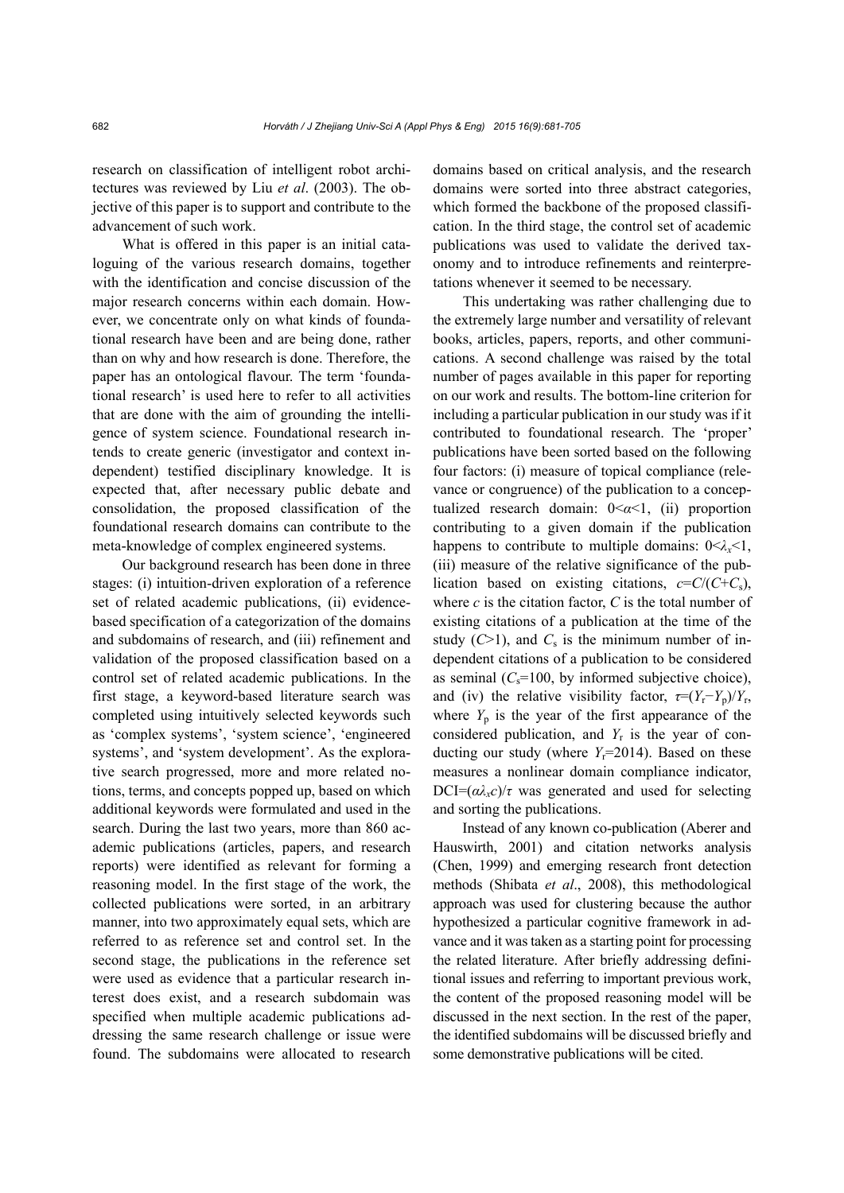research on classification of intelligent robot architectures was reviewed by Liu *et al*. (2003). The objective of this paper is to support and contribute to the advancement of such work.

What is offered in this paper is an initial cataloguing of the various research domains, together with the identification and concise discussion of the major research concerns within each domain. However, we concentrate only on what kinds of foundational research have been and are being done, rather than on why and how research is done. Therefore, the paper has an ontological flavour. The term 'foundational research' is used here to refer to all activities that are done with the aim of grounding the intelligence of system science. Foundational research intends to create generic (investigator and context independent) testified disciplinary knowledge. It is expected that, after necessary public debate and consolidation, the proposed classification of the foundational research domains can contribute to the meta-knowledge of complex engineered systems.

Our background research has been done in three stages: (i) intuition-driven exploration of a reference set of related academic publications, (ii) evidencebased specification of a categorization of the domains and subdomains of research, and (iii) refinement and validation of the proposed classification based on a control set of related academic publications. In the first stage, a keyword-based literature search was completed using intuitively selected keywords such as 'complex systems', 'system science', 'engineered systems', and 'system development'. As the explorative search progressed, more and more related notions, terms, and concepts popped up, based on which additional keywords were formulated and used in the search. During the last two years, more than 860 academic publications (articles, papers, and research reports) were identified as relevant for forming a reasoning model. In the first stage of the work, the collected publications were sorted, in an arbitrary manner, into two approximately equal sets, which are referred to as reference set and control set. In the second stage, the publications in the reference set were used as evidence that a particular research interest does exist, and a research subdomain was specified when multiple academic publications addressing the same research challenge or issue were found. The subdomains were allocated to research

domains based on critical analysis, and the research domains were sorted into three abstract categories, which formed the backbone of the proposed classification. In the third stage, the control set of academic publications was used to validate the derived taxonomy and to introduce refinements and reinterpretations whenever it seemed to be necessary.

This undertaking was rather challenging due to the extremely large number and versatility of relevant books, articles, papers, reports, and other communications. A second challenge was raised by the total number of pages available in this paper for reporting on our work and results. The bottom-line criterion for including a particular publication in our study was if it contributed to foundational research. The 'proper' publications have been sorted based on the following four factors: (i) measure of topical compliance (relevance or congruence) of the publication to a conceptualized research domain: 0˂*α*<1, (ii) proportion contributing to a given domain if the publication happens to contribute to multiple domains:  $0 < \lambda_x < 1$ , (iii) measure of the relative significance of the publication based on existing citations,  $c = C/(C+C<sub>s</sub>)$ , where  $c$  is the citation factor,  $C$  is the total number of existing citations of a publication at the time of the study  $(C>1)$ , and  $C<sub>s</sub>$  is the minimum number of independent citations of a publication to be considered as seminal  $(C_s=100, \text{ by informed subjective choice})$ , and (iv) the relative visibility factor,  $\tau=(Y_r-Y_p)/Y_r$ , where  $Y_p$  is the year of the first appearance of the considered publication, and *Y*r is the year of conducting our study (where  $Y_r = 2014$ ). Based on these measures a nonlinear domain compliance indicator,  $DCI=(\alpha\lambda_{x}c)/\tau$  was generated and used for selecting and sorting the publications.

Instead of any known co-publication (Aberer and Hauswirth, 2001) and citation networks analysis (Chen, 1999) and emerging research front detection methods (Shibata *et al*., 2008), this methodological approach was used for clustering because the author hypothesized a particular cognitive framework in advance and it was taken as a starting point for processing the related literature. After briefly addressing definitional issues and referring to important previous work, the content of the proposed reasoning model will be discussed in the next section. In the rest of the paper, the identified subdomains will be discussed briefly and some demonstrative publications will be cited.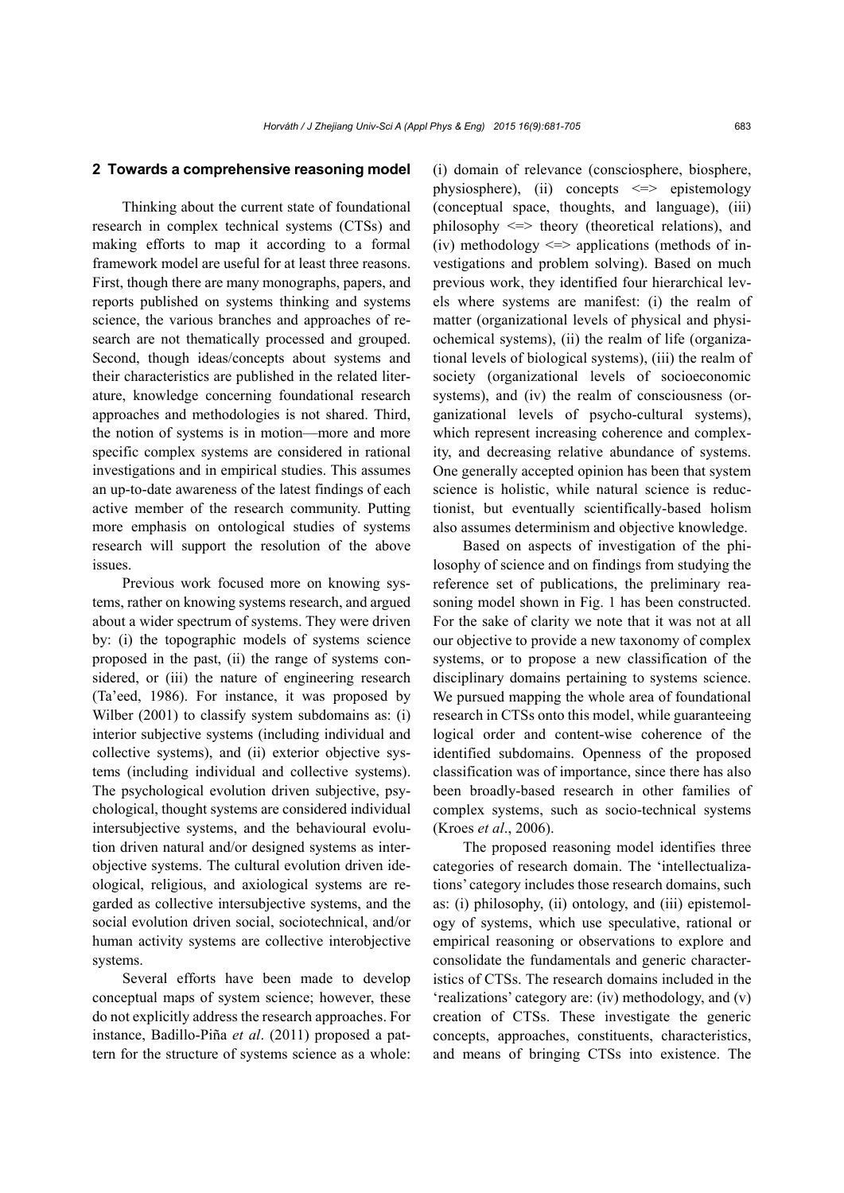#### **2 Towards a comprehensive reasoning model**

Thinking about the current state of foundational research in complex technical systems (CTSs) and making efforts to map it according to a formal framework model are useful for at least three reasons. First, though there are many monographs, papers, and reports published on systems thinking and systems science, the various branches and approaches of research are not thematically processed and grouped. Second, though ideas/concepts about systems and their characteristics are published in the related literature, knowledge concerning foundational research approaches and methodologies is not shared. Third, the notion of systems is in motion—more and more specific complex systems are considered in rational investigations and in empirical studies. This assumes an up-to-date awareness of the latest findings of each active member of the research community. Putting more emphasis on ontological studies of systems research will support the resolution of the above issues.

Previous work focused more on knowing systems, rather on knowing systems research, and argued about a wider spectrum of systems. They were driven by: (i) the topographic models of systems science proposed in the past, (ii) the range of systems considered, or (iii) the nature of engineering research (Ta'eed, 1986). For instance, it was proposed by Wilber (2001) to classify system subdomains as: (i) interior subjective systems (including individual and collective systems), and (ii) exterior objective systems (including individual and collective systems). The psychological evolution driven subjective, psychological, thought systems are considered individual intersubjective systems, and the behavioural evolution driven natural and/or designed systems as interobjective systems. The cultural evolution driven ideological, religious, and axiological systems are regarded as collective intersubjective systems, and the social evolution driven social, sociotechnical, and/or human activity systems are collective interobjective systems.

Several efforts have been made to develop conceptual maps of system science; however, these do not explicitly address the research approaches. For instance, Badillo-Piña *et al*. (2011) proposed a pattern for the structure of systems science as a whole: (i) domain of relevance (consciosphere, biosphere, physiosphere), (ii) concepts  $\leq$  epistemology (conceptual space, thoughts, and language), (iii) philosophy <=> theory (theoretical relations), and (iv) methodology  $\le$  > applications (methods of investigations and problem solving). Based on much previous work, they identified four hierarchical levels where systems are manifest: (i) the realm of matter (organizational levels of physical and physiochemical systems), (ii) the realm of life (organizational levels of biological systems), (iii) the realm of society (organizational levels of socioeconomic systems), and (iv) the realm of consciousness (organizational levels of psycho-cultural systems), which represent increasing coherence and complexity, and decreasing relative abundance of systems. One generally accepted opinion has been that system science is holistic, while natural science is reductionist, but eventually scientifically-based holism also assumes determinism and objective knowledge.

Based on aspects of investigation of the philosophy of science and on findings from studying the reference set of publications, the preliminary reasoning model shown in Fig. 1 has been constructed. For the sake of clarity we note that it was not at all our objective to provide a new taxonomy of complex systems, or to propose a new classification of the disciplinary domains pertaining to systems science. We pursued mapping the whole area of foundational research in CTSs onto this model, while guaranteeing logical order and content-wise coherence of the identified subdomains. Openness of the proposed classification was of importance, since there has also been broadly-based research in other families of complex systems, such as socio-technical systems (Kroes *et al*., 2006).

The proposed reasoning model identifies three categories of research domain. The 'intellectualizations' category includes those research domains, such as: (i) philosophy, (ii) ontology, and (iii) epistemology of systems, which use speculative, rational or empirical reasoning or observations to explore and consolidate the fundamentals and generic characteristics of CTSs. The research domains included in the 'realizations' category are: (iv) methodology, and (v) creation of CTSs. These investigate the generic concepts, approaches, constituents, characteristics, and means of bringing CTSs into existence. The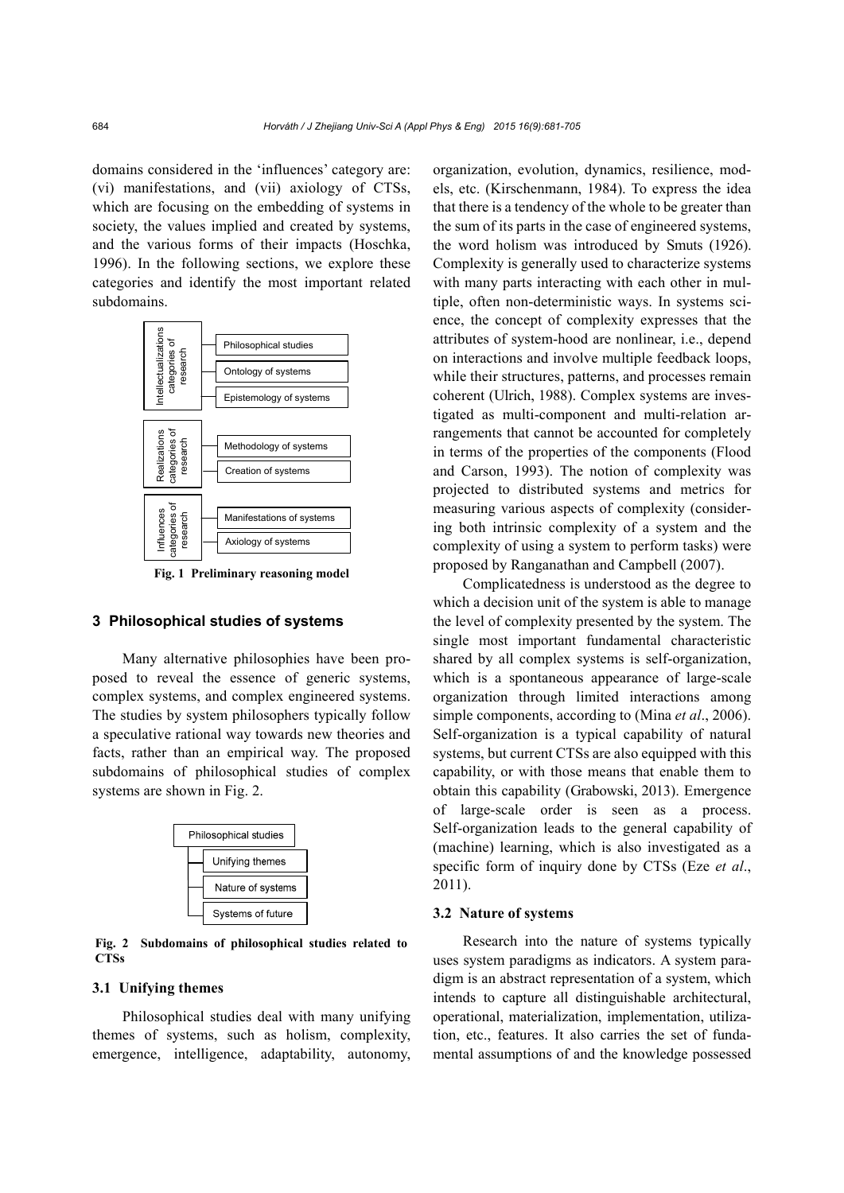domains considered in the 'influences' category are: (vi) manifestations, and (vii) axiology of CTSs, which are focusing on the embedding of systems in society, the values implied and created by systems, and the various forms of their impacts (Hoschka, 1996). In the following sections, we explore these categories and identify the most important related subdomains.



**Fig. 1 Preliminary reasoning model** 

# **3 Philosophical studies of systems**

Many alternative philosophies have been proposed to reveal the essence of generic systems, complex systems, and complex engineered systems. The studies by system philosophers typically follow a speculative rational way towards new theories and facts, rather than an empirical way. The proposed subdomains of philosophical studies of complex systems are shown in Fig. 2.



**Fig. 2 Subdomains of philosophical studies related to CTSs** 

#### **3.1 Unifying themes**

Philosophical studies deal with many unifying themes of systems, such as holism, complexity, emergence, intelligence, adaptability, autonomy, organization, evolution, dynamics, resilience, models, etc. (Kirschenmann, 1984). To express the idea that there is a tendency of the whole to be greater than the sum of its parts in the case of engineered systems, the word holism was introduced by Smuts (1926). Complexity is generally used to characterize systems with many parts interacting with each other in multiple, often non-deterministic ways. In systems science, the concept of complexity expresses that the attributes of system-hood are nonlinear, i.e., depend on interactions and involve multiple feedback loops, while their structures, patterns, and processes remain coherent (Ulrich, 1988). Complex systems are investigated as multi-component and multi-relation arrangements that cannot be accounted for completely in terms of the properties of the components (Flood and Carson, 1993). The notion of complexity was projected to distributed systems and metrics for measuring various aspects of complexity (considering both intrinsic complexity of a system and the complexity of using a system to perform tasks) were proposed by Ranganathan and Campbell (2007).

Complicatedness is understood as the degree to which a decision unit of the system is able to manage the level of complexity presented by the system. The single most important fundamental characteristic shared by all complex systems is self-organization, which is a spontaneous appearance of large-scale organization through limited interactions among simple components, according to (Mina *et al*., 2006). Self-organization is a typical capability of natural systems, but current CTSs are also equipped with this capability, or with those means that enable them to obtain this capability (Grabowski, 2013). Emergence of large-scale order is seen as a process. Self-organization leads to the general capability of (machine) learning, which is also investigated as a specific form of inquiry done by CTSs (Eze *et al*., 2011).

#### **3.2 Nature of systems**

Research into the nature of systems typically uses system paradigms as indicators. A system paradigm is an abstract representation of a system, which intends to capture all distinguishable architectural, operational, materialization, implementation, utilization, etc., features. It also carries the set of fundamental assumptions of and the knowledge possessed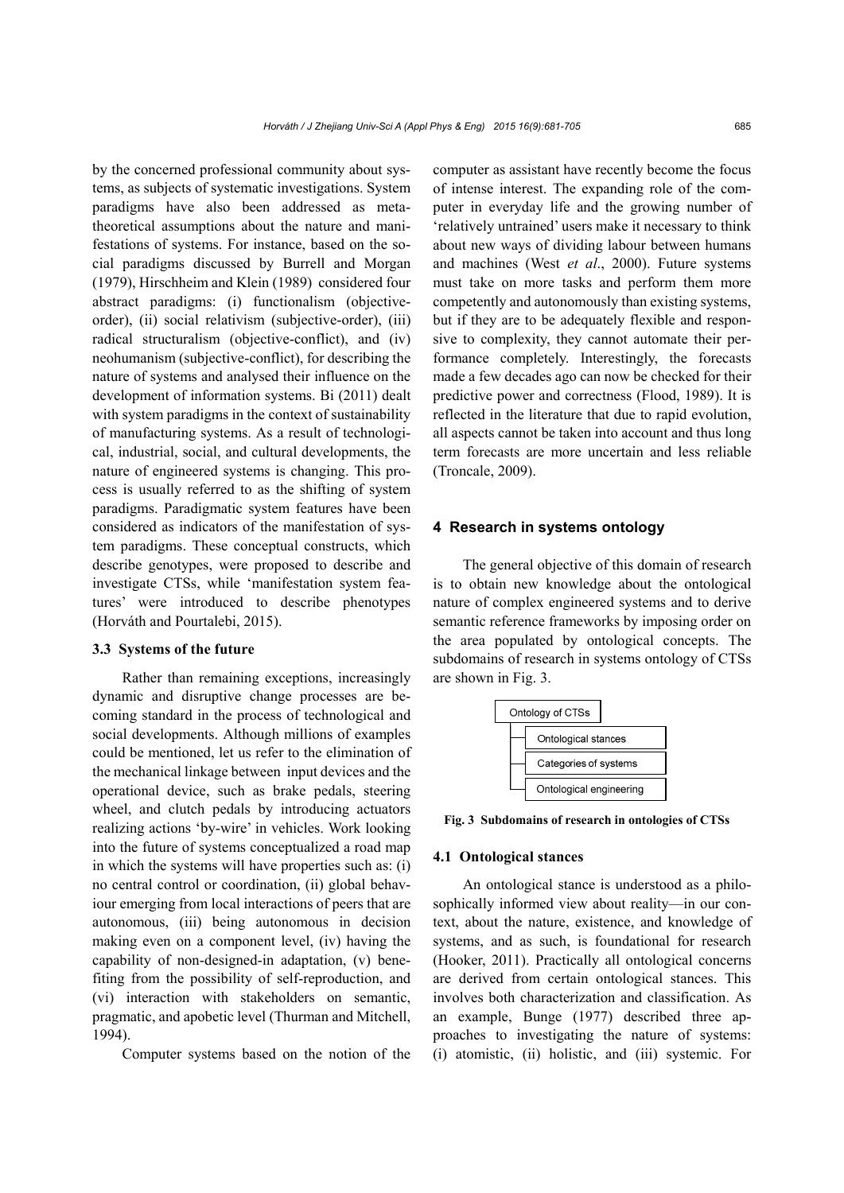by the concerned professional community about systems, as subjects of systematic investigations. System paradigms have also been addressed as metatheoretical assumptions about the nature and manifestations of systems. For instance, based on the social paradigms discussed by Burrell and Morgan (1979), Hirschheim and Klein (1989) considered four abstract paradigms: (i) functionalism (objectiveorder), (ii) social relativism (subjective-order), (iii) radical structuralism (objective-conflict), and (iv) neohumanism (subjective-conflict), for describing the nature of systems and analysed their influence on the development of information systems. Bi (2011) dealt with system paradigms in the context of sustainability of manufacturing systems. As a result of technological, industrial, social, and cultural developments, the nature of engineered systems is changing. This process is usually referred to as the shifting of system paradigms. Paradigmatic system features have been considered as indicators of the manifestation of system paradigms. These conceptual constructs, which describe genotypes, were proposed to describe and investigate CTSs, while 'manifestation system features' were introduced to describe phenotypes (Horváth and Pourtalebi, 2015).

# **3.3 Systems of the future**

Rather than remaining exceptions, increasingly dynamic and disruptive change processes are becoming standard in the process of technological and social developments. Although millions of examples could be mentioned, let us refer to the elimination of the mechanical linkage between input devices and the operational device, such as brake pedals, steering wheel, and clutch pedals by introducing actuators realizing actions 'by-wire' in vehicles. Work looking into the future of systems conceptualized a road map in which the systems will have properties such as: (i) no central control or coordination, (ii) global behaviour emerging from local interactions of peers that are autonomous, (iii) being autonomous in decision making even on a component level, (iv) having the capability of non-designed-in adaptation, (v) benefiting from the possibility of self-reproduction, and (vi) interaction with stakeholders on semantic, pragmatic, and apobetic level (Thurman and Mitchell, 1994).

Computer systems based on the notion of the

computer as assistant have recently become the focus of intense interest. The expanding role of the computer in everyday life and the growing number of 'relatively untrained' users make it necessary to think about new ways of dividing labour between humans and machines (West *et al*., 2000). Future systems must take on more tasks and perform them more competently and autonomously than existing systems, but if they are to be adequately flexible and responsive to complexity, they cannot automate their performance completely. Interestingly, the forecasts made a few decades ago can now be checked for their predictive power and correctness (Flood, 1989). It is reflected in the literature that due to rapid evolution, all aspects cannot be taken into account and thus long term forecasts are more uncertain and less reliable (Troncale, 2009).

#### **4 Research in systems ontology**

The general objective of this domain of research is to obtain new knowledge about the ontological nature of complex engineered systems and to derive semantic reference frameworks by imposing order on the area populated by ontological concepts. The subdomains of research in systems ontology of CTSs are shown in Fig. 3.



**Fig. 3 Subdomains of research in ontologies of CTSs** 

#### **4.1 Ontological stances**

An ontological stance is understood as a philosophically informed view about reality—in our context, about the nature, existence, and knowledge of systems, and as such, is foundational for research (Hooker, 2011). Practically all ontological concerns are derived from certain ontological stances. This involves both characterization and classification. As an example, Bunge (1977) described three approaches to investigating the nature of systems: (i) atomistic, (ii) holistic, and (iii) systemic. For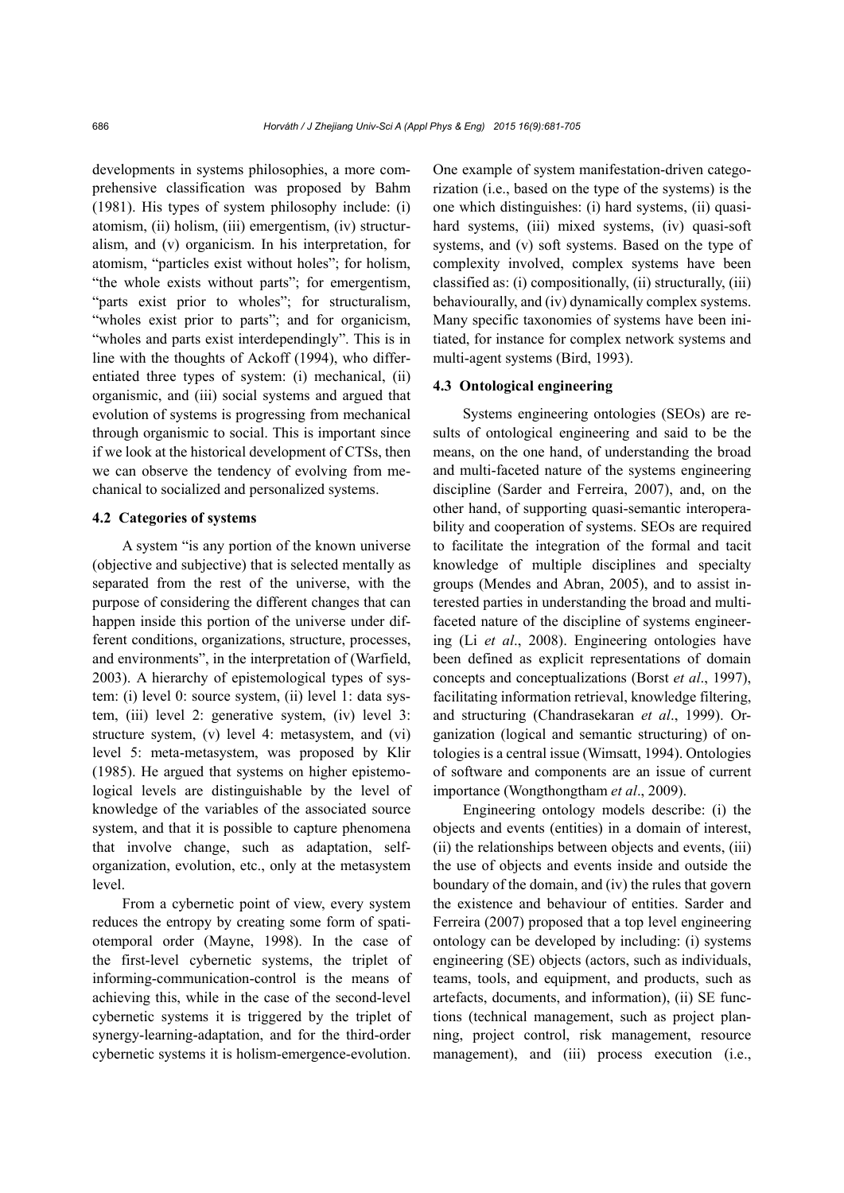developments in systems philosophies, a more comprehensive classification was proposed by Bahm (1981). His types of system philosophy include: (i) atomism, (ii) holism, (iii) emergentism, (iv) structuralism, and (v) organicism. In his interpretation, for atomism, "particles exist without holes"; for holism, "the whole exists without parts"; for emergentism, "parts exist prior to wholes"; for structuralism, "wholes exist prior to parts"; and for organicism, "wholes and parts exist interdependingly". This is in line with the thoughts of Ackoff (1994), who differentiated three types of system: (i) mechanical, (ii) organismic, and (iii) social systems and argued that evolution of systems is progressing from mechanical through organismic to social. This is important since if we look at the historical development of CTSs, then we can observe the tendency of evolving from mechanical to socialized and personalized systems.

## **4.2 Categories of systems**

A system "is any portion of the known universe (objective and subjective) that is selected mentally as separated from the rest of the universe, with the purpose of considering the different changes that can happen inside this portion of the universe under different conditions, organizations, structure, processes, and environments", in the interpretation of (Warfield, 2003). A hierarchy of epistemological types of system: (i) level 0: source system, (ii) level 1: data system, (iii) level 2: generative system, (iv) level 3: structure system, (v) level 4: metasystem, and (vi) level 5: meta-metasystem, was proposed by Klir (1985). He argued that systems on higher epistemological levels are distinguishable by the level of knowledge of the variables of the associated source system, and that it is possible to capture phenomena that involve change, such as adaptation, selforganization, evolution, etc., only at the metasystem level.

From a cybernetic point of view, every system reduces the entropy by creating some form of spatiotemporal order (Mayne, 1998). In the case of the first-level cybernetic systems, the triplet of informing-communication-control is the means of achieving this, while in the case of the second-level cybernetic systems it is triggered by the triplet of synergy-learning-adaptation, and for the third-order cybernetic systems it is holism-emergence-evolution. One example of system manifestation-driven categorization (i.e., based on the type of the systems) is the one which distinguishes: (i) hard systems, (ii) quasihard systems, (iii) mixed systems, (iv) quasi-soft systems, and (v) soft systems. Based on the type of complexity involved, complex systems have been classified as: (i) compositionally, (ii) structurally, (iii) behaviourally, and (iv) dynamically complex systems. Many specific taxonomies of systems have been initiated, for instance for complex network systems and multi-agent systems (Bird, 1993).

# **4.3 Ontological engineering**

Systems engineering ontologies (SEOs) are results of ontological engineering and said to be the means, on the one hand, of understanding the broad and multi-faceted nature of the systems engineering discipline (Sarder and Ferreira, 2007), and, on the other hand, of supporting quasi-semantic interoperability and cooperation of systems. SEOs are required to facilitate the integration of the formal and tacit knowledge of multiple disciplines and specialty groups (Mendes and Abran, 2005), and to assist interested parties in understanding the broad and multifaceted nature of the discipline of systems engineering (Li *et al*., 2008). Engineering ontologies have been defined as explicit representations of domain concepts and conceptualizations (Borst *et al*., 1997), facilitating information retrieval, knowledge filtering, and structuring (Chandrasekaran *et al*., 1999). Organization (logical and semantic structuring) of ontologies is a central issue (Wimsatt, 1994). Ontologies of software and components are an issue of current importance (Wongthongtham *et al*., 2009).

Engineering ontology models describe: (i) the objects and events (entities) in a domain of interest, (ii) the relationships between objects and events, (iii) the use of objects and events inside and outside the boundary of the domain, and (iv) the rules that govern the existence and behaviour of entities. Sarder and Ferreira (2007) proposed that a top level engineering ontology can be developed by including: (i) systems engineering (SE) objects (actors, such as individuals, teams, tools, and equipment, and products, such as artefacts, documents, and information), (ii) SE functions (technical management, such as project planning, project control, risk management, resource management), and (iii) process execution (i.e.,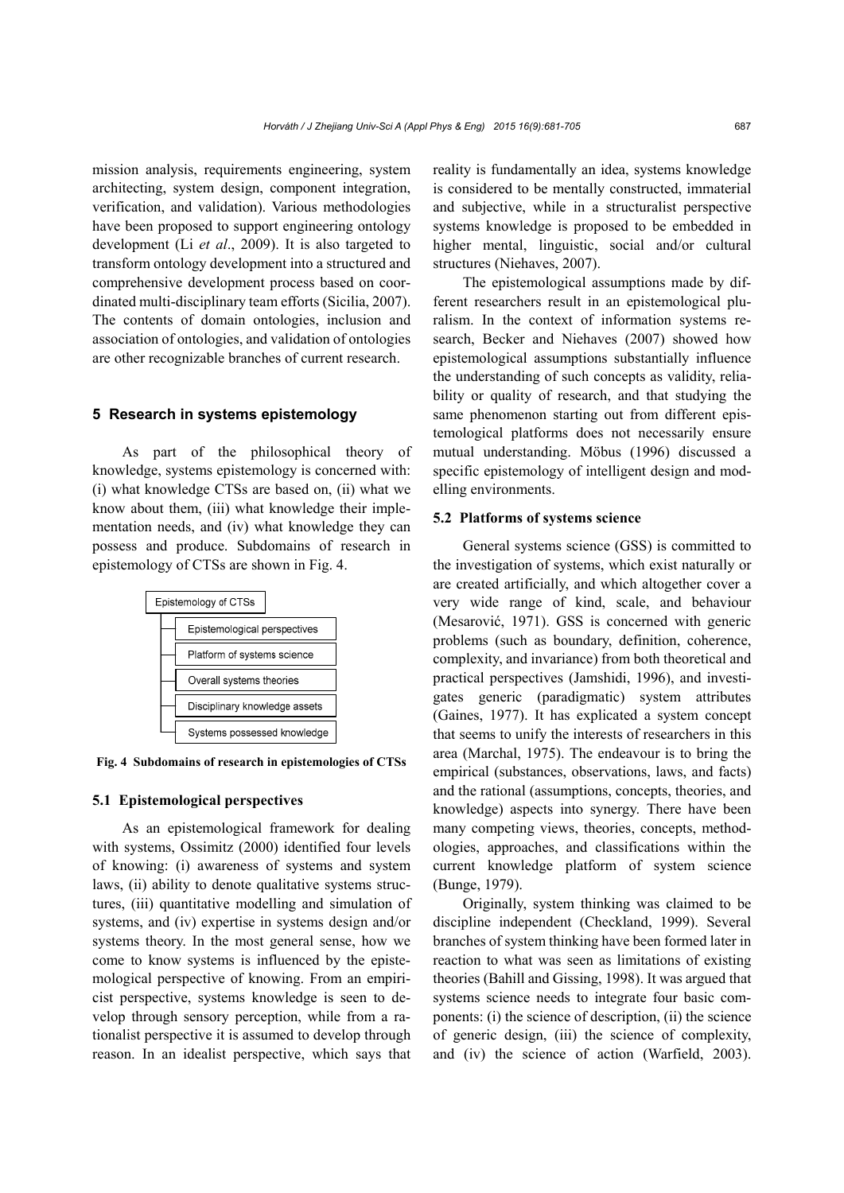mission analysis, requirements engineering, system architecting, system design, component integration, verification, and validation). Various methodologies have been proposed to support engineering ontology development (Li *et al*., 2009). It is also targeted to transform ontology development into a structured and comprehensive development process based on coordinated multi-disciplinary team efforts (Sicilia, 2007). The contents of domain ontologies, inclusion and association of ontologies, and validation of ontologies are other recognizable branches of current research.

# **5 Research in systems epistemology**

As part of the philosophical theory of knowledge, systems epistemology is concerned with: (i) what knowledge CTSs are based on, (ii) what we know about them, (iii) what knowledge their implementation needs, and (iv) what knowledge they can possess and produce. Subdomains of research in epistemology of CTSs are shown in Fig. 4.

| Epistemology of CTSs          |
|-------------------------------|
| Epistemological perspectives  |
| Platform of systems science   |
|                               |
| Overall systems theories      |
| Disciplinary knowledge assets |

**Fig. 4 Subdomains of research in epistemologies of CTSs**

# **5.1 Epistemological perspectives**

As an epistemological framework for dealing with systems, Ossimitz (2000) identified four levels of knowing: (i) awareness of systems and system laws, (ii) ability to denote qualitative systems structures, (iii) quantitative modelling and simulation of systems, and (iv) expertise in systems design and/or systems theory. In the most general sense, how we come to know systems is influenced by the epistemological perspective of knowing. From an empiricist perspective, systems knowledge is seen to develop through sensory perception, while from a rationalist perspective it is assumed to develop through reason. In an idealist perspective, which says that reality is fundamentally an idea, systems knowledge is considered to be mentally constructed, immaterial and subjective, while in a structuralist perspective systems knowledge is proposed to be embedded in higher mental, linguistic, social and/or cultural structures (Niehaves, 2007).

The epistemological assumptions made by different researchers result in an epistemological pluralism. In the context of information systems research, Becker and Niehaves (2007) showed how epistemological assumptions substantially influence the understanding of such concepts as validity, reliability or quality of research, and that studying the same phenomenon starting out from different epistemological platforms does not necessarily ensure mutual understanding. Möbus (1996) discussed a specific epistemology of intelligent design and modelling environments.

#### **5.2 Platforms of systems science**

General systems science (GSS) is committed to the investigation of systems, which exist naturally or are created artificially, and which altogether cover a very wide range of kind, scale, and behaviour (Mesarović, 1971). GSS is concerned with generic problems (such as boundary, definition, coherence, complexity, and invariance) from both theoretical and practical perspectives (Jamshidi, 1996), and investigates generic (paradigmatic) system attributes (Gaines, 1977). It has explicated a system concept that seems to unify the interests of researchers in this area (Marchal, 1975). The endeavour is to bring the empirical (substances, observations, laws, and facts) and the rational (assumptions, concepts, theories, and knowledge) aspects into synergy. There have been many competing views, theories, concepts, methodologies, approaches, and classifications within the current knowledge platform of system science (Bunge, 1979).

Originally, system thinking was claimed to be discipline independent (Checkland, 1999). Several branches of system thinking have been formed later in reaction to what was seen as limitations of existing theories (Bahill and Gissing, 1998). It was argued that systems science needs to integrate four basic components: (i) the science of description, (ii) the science of generic design, (iii) the science of complexity, and (iv) the science of action (Warfield, 2003).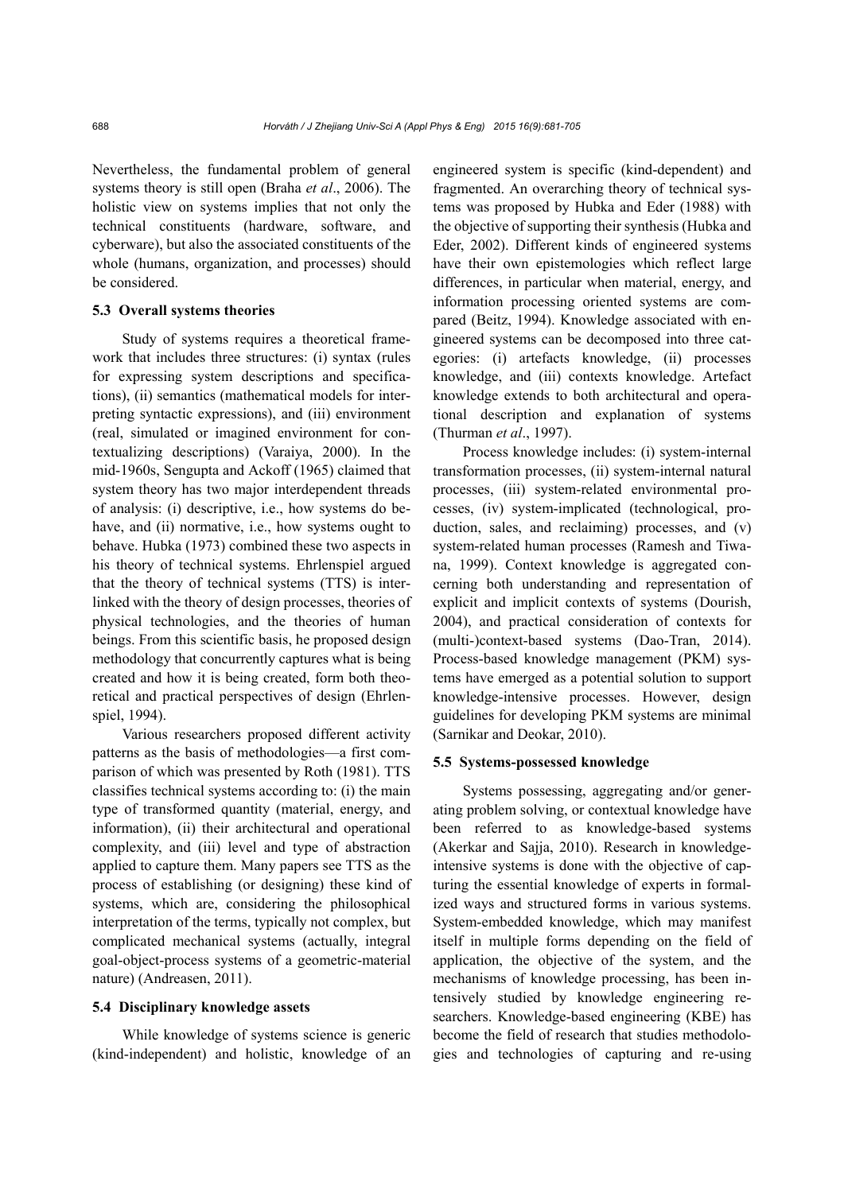Nevertheless, the fundamental problem of general systems theory is still open (Braha *et al*., 2006). The holistic view on systems implies that not only the technical constituents (hardware, software, and cyberware), but also the associated constituents of the whole (humans, organization, and processes) should be considered.

# **5.3 Overall systems theories**

Study of systems requires a theoretical framework that includes three structures: (i) syntax (rules for expressing system descriptions and specifications), (ii) semantics (mathematical models for interpreting syntactic expressions), and (iii) environment (real, simulated or imagined environment for contextualizing descriptions) (Varaiya, 2000). In the mid-1960s, Sengupta and Ackoff (1965) claimed that system theory has two major interdependent threads of analysis: (i) descriptive, i.e., how systems do behave, and (ii) normative, i.e., how systems ought to behave. Hubka (1973) combined these two aspects in his theory of technical systems. Ehrlenspiel argued that the theory of technical systems (TTS) is interlinked with the theory of design processes, theories of physical technologies, and the theories of human beings. From this scientific basis, he proposed design methodology that concurrently captures what is being created and how it is being created, form both theoretical and practical perspectives of design (Ehrlenspiel, 1994).

Various researchers proposed different activity patterns as the basis of methodologies—a first comparison of which was presented by Roth (1981). TTS classifies technical systems according to: (i) the main type of transformed quantity (material, energy, and information), (ii) their architectural and operational complexity, and (iii) level and type of abstraction applied to capture them. Many papers see TTS as the process of establishing (or designing) these kind of systems, which are, considering the philosophical interpretation of the terms, typically not complex, but complicated mechanical systems (actually, integral goal-object-process systems of a geometric-material nature) (Andreasen, 2011).

#### **5.4 Disciplinary knowledge assets**

While knowledge of systems science is generic (kind-independent) and holistic, knowledge of an engineered system is specific (kind-dependent) and fragmented. An overarching theory of technical systems was proposed by Hubka and Eder (1988) with the objective of supporting their synthesis (Hubka and Eder, 2002). Different kinds of engineered systems have their own epistemologies which reflect large differences, in particular when material, energy, and information processing oriented systems are compared (Beitz, 1994). Knowledge associated with engineered systems can be decomposed into three categories: (i) artefacts knowledge, (ii) processes knowledge, and (iii) contexts knowledge. Artefact knowledge extends to both architectural and operational description and explanation of systems (Thurman *et al*., 1997).

Process knowledge includes: (i) system-internal transformation processes, (ii) system-internal natural processes, (iii) system-related environmental processes, (iv) system-implicated (technological, production, sales, and reclaiming) processes, and (v) system-related human processes (Ramesh and Tiwana, 1999). Context knowledge is aggregated concerning both understanding and representation of explicit and implicit contexts of systems (Dourish, 2004), and practical consideration of contexts for (multi-)context-based systems (Dao-Tran, 2014). Process-based knowledge management (PKM) systems have emerged as a potential solution to support knowledge-intensive processes. However, design guidelines for developing PKM systems are minimal (Sarnikar and Deokar, 2010).

#### **5.5 Systems-possessed knowledge**

Systems possessing, aggregating and/or generating problem solving, or contextual knowledge have been referred to as knowledge-based systems (Akerkar and Sajja, 2010). Research in knowledgeintensive systems is done with the objective of capturing the essential knowledge of experts in formalized ways and structured forms in various systems. System-embedded knowledge, which may manifest itself in multiple forms depending on the field of application, the objective of the system, and the mechanisms of knowledge processing, has been intensively studied by knowledge engineering researchers. Knowledge-based engineering (KBE) has become the field of research that studies methodologies and technologies of capturing and re-using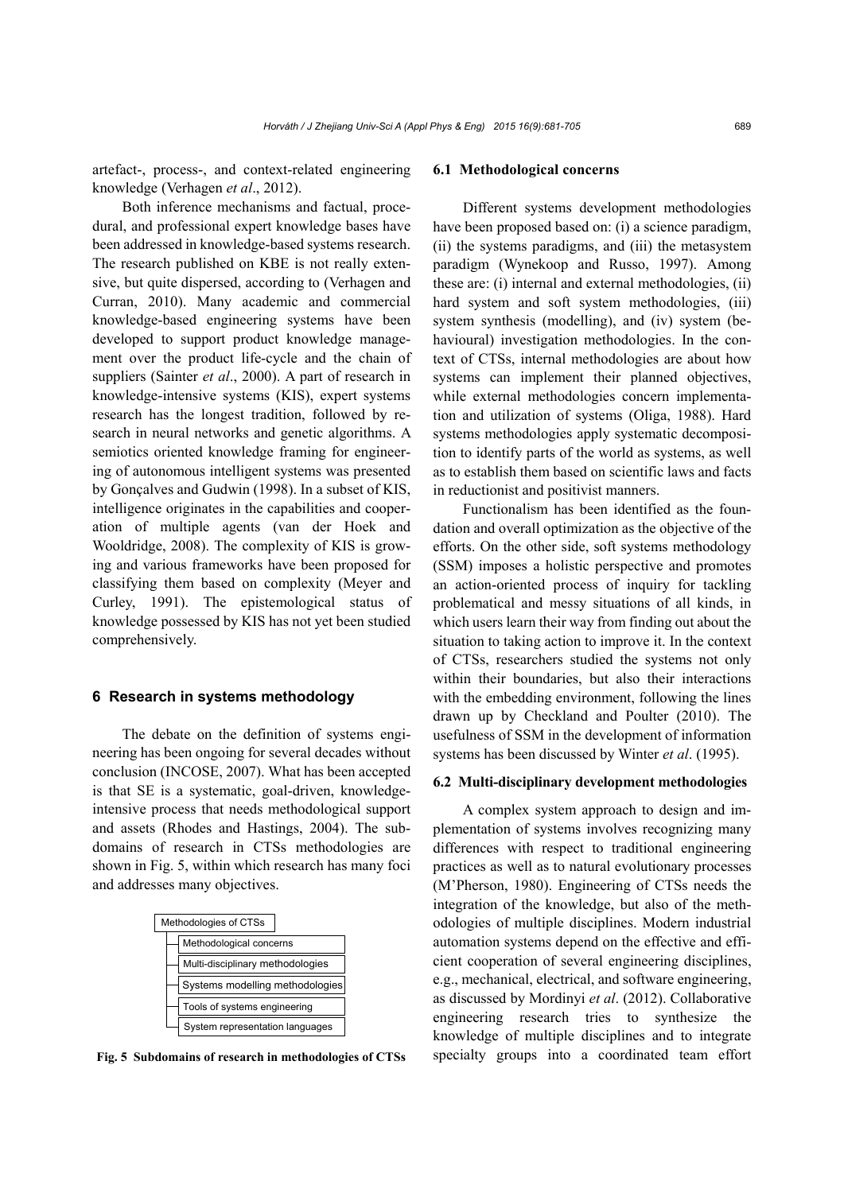artefact-, process-, and context-related engineering knowledge (Verhagen *et al*., 2012).

Both inference mechanisms and factual, procedural, and professional expert knowledge bases have been addressed in knowledge-based systems research. The research published on KBE is not really extensive, but quite dispersed, according to (Verhagen and Curran, 2010). Many academic and commercial knowledge-based engineering systems have been developed to support product knowledge management over the product life-cycle and the chain of suppliers (Sainter *et al*., 2000). A part of research in knowledge-intensive systems (KIS), expert systems research has the longest tradition, followed by research in neural networks and genetic algorithms. A semiotics oriented knowledge framing for engineering of autonomous intelligent systems was presented by Gonçalves and Gudwin (1998). In a subset of KIS, intelligence originates in the capabilities and cooperation of multiple agents (van der Hoek and Wooldridge, 2008). The complexity of KIS is growing and various frameworks have been proposed for classifying them based on complexity (Meyer and Curley, 1991). The epistemological status of knowledge possessed by KIS has not yet been studied comprehensively.

# **6 Research in systems methodology**

The debate on the definition of systems engineering has been ongoing for several decades without conclusion (INCOSE, 2007). What has been accepted is that SE is a systematic, goal-driven, knowledgeintensive process that needs methodological support and assets (Rhodes and Hastings, 2004). The subdomains of research in CTSs methodologies are shown in Fig. 5, within which research has many foci and addresses many objectives.

| Methodologies of CTSs            |  |
|----------------------------------|--|
| Methodological concerns          |  |
| Multi-disciplinary methodologies |  |
| Systems modelling methodologies  |  |
| Tools of systems engineering     |  |
| System representation languages  |  |

#### **6.1 Methodological concerns**

Different systems development methodologies have been proposed based on: (i) a science paradigm, (ii) the systems paradigms, and (iii) the metasystem paradigm (Wynekoop and Russo, 1997). Among these are: (i) internal and external methodologies, (ii) hard system and soft system methodologies, (iii) system synthesis (modelling), and (iv) system (behavioural) investigation methodologies. In the context of CTSs, internal methodologies are about how systems can implement their planned objectives, while external methodologies concern implementation and utilization of systems (Oliga, 1988). Hard systems methodologies apply systematic decomposition to identify parts of the world as systems, as well as to establish them based on scientific laws and facts in reductionist and positivist manners.

Functionalism has been identified as the foundation and overall optimization as the objective of the efforts. On the other side, soft systems methodology (SSM) imposes a holistic perspective and promotes an action-oriented process of inquiry for tackling problematical and messy situations of all kinds, in which users learn their way from finding out about the situation to taking action to improve it. In the context of CTSs, researchers studied the systems not only within their boundaries, but also their interactions with the embedding environment, following the lines drawn up by Checkland and Poulter (2010). The usefulness of SSM in the development of information systems has been discussed by Winter *et al*. (1995).

# **6.2 Multi-disciplinary development methodologies**

A complex system approach to design and implementation of systems involves recognizing many differences with respect to traditional engineering practices as well as to natural evolutionary processes (M'Pherson, 1980). Engineering of CTSs needs the integration of the knowledge, but also of the methodologies of multiple disciplines. Modern industrial automation systems depend on the effective and efficient cooperation of several engineering disciplines, e.g., mechanical, electrical, and software engineering, as discussed by Mordinyi *et al*. (2012). Collaborative engineering research tries to synthesize the knowledge of multiple disciplines and to integrate **Fig. 5 Subdomains of research in methodologies of CTSs** specialty groups into a coordinated team effort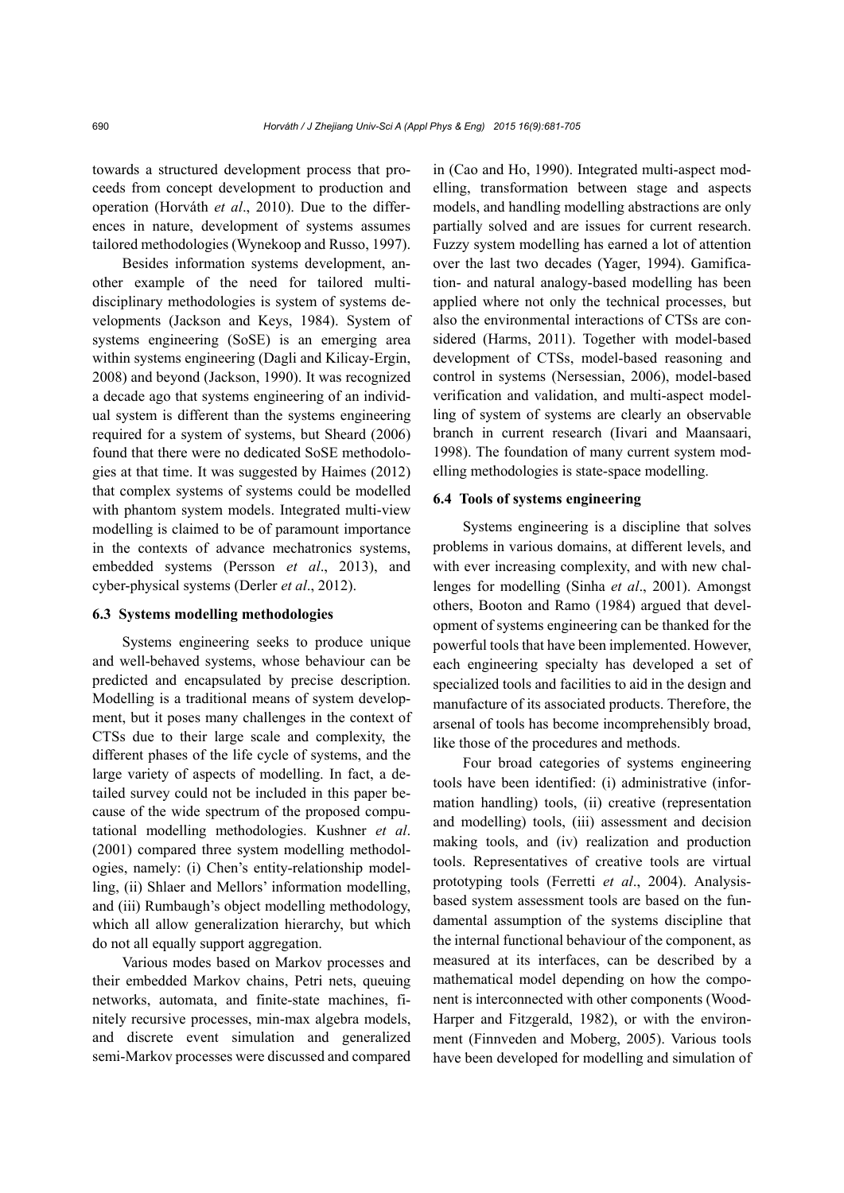towards a structured development process that proceeds from concept development to production and operation (Horváth *et al*., 2010). Due to the differences in nature, development of systems assumes tailored methodologies (Wynekoop and Russo, 1997).

Besides information systems development, another example of the need for tailored multidisciplinary methodologies is system of systems developments (Jackson and Keys, 1984). System of systems engineering (SoSE) is an emerging area within systems engineering (Dagli and Kilicay-Ergin, 2008) and beyond (Jackson, 1990). It was recognized a decade ago that systems engineering of an individual system is different than the systems engineering required for a system of systems, but Sheard (2006) found that there were no dedicated SoSE methodologies at that time. It was suggested by Haimes (2012) that complex systems of systems could be modelled with phantom system models. Integrated multi-view modelling is claimed to be of paramount importance in the contexts of advance mechatronics systems, embedded systems (Persson *et al*., 2013), and cyber-physical systems (Derler *et al*., 2012).

# **6.3 Systems modelling methodologies**

Systems engineering seeks to produce unique and well-behaved systems, whose behaviour can be predicted and encapsulated by precise description. Modelling is a traditional means of system development, but it poses many challenges in the context of CTSs due to their large scale and complexity, the different phases of the life cycle of systems, and the large variety of aspects of modelling. In fact, a detailed survey could not be included in this paper because of the wide spectrum of the proposed computational modelling methodologies. Kushner *et al*. (2001) compared three system modelling methodologies, namely: (i) Chen's entity-relationship modelling, (ii) Shlaer and Mellors' information modelling, and (iii) Rumbaugh's object modelling methodology, which all allow generalization hierarchy, but which do not all equally support aggregation.

Various modes based on Markov processes and their embedded Markov chains, Petri nets, queuing networks, automata, and finite-state machines, finitely recursive processes, min-max algebra models, and discrete event simulation and generalized semi-Markov processes were discussed and compared in (Cao and Ho, 1990). Integrated multi-aspect modelling, transformation between stage and aspects models, and handling modelling abstractions are only partially solved and are issues for current research. Fuzzy system modelling has earned a lot of attention over the last two decades (Yager, 1994). Gamification- and natural analogy-based modelling has been applied where not only the technical processes, but also the environmental interactions of CTSs are considered (Harms, 2011). Together with model-based development of CTSs, model-based reasoning and control in systems (Nersessian, 2006), model-based verification and validation, and multi-aspect modelling of system of systems are clearly an observable branch in current research (Iivari and Maansaari, 1998). The foundation of many current system modelling methodologies is state-space modelling.

#### **6.4 Tools of systems engineering**

Systems engineering is a discipline that solves problems in various domains, at different levels, and with ever increasing complexity, and with new challenges for modelling (Sinha *et al*., 2001). Amongst others, Booton and Ramo (1984) argued that development of systems engineering can be thanked for the powerful tools that have been implemented. However, each engineering specialty has developed a set of specialized tools and facilities to aid in the design and manufacture of its associated products. Therefore, the arsenal of tools has become incomprehensibly broad, like those of the procedures and methods.

Four broad categories of systems engineering tools have been identified: (i) administrative (information handling) tools, (ii) creative (representation and modelling) tools, (iii) assessment and decision making tools, and (iv) realization and production tools. Representatives of creative tools are virtual prototyping tools (Ferretti *et al*., 2004). Analysisbased system assessment tools are based on the fundamental assumption of the systems discipline that the internal functional behaviour of the component, as measured at its interfaces, can be described by a mathematical model depending on how the component is interconnected with other components (Wood-Harper and Fitzgerald, 1982), or with the environment (Finnveden and Moberg, 2005). Various tools have been developed for modelling and simulation of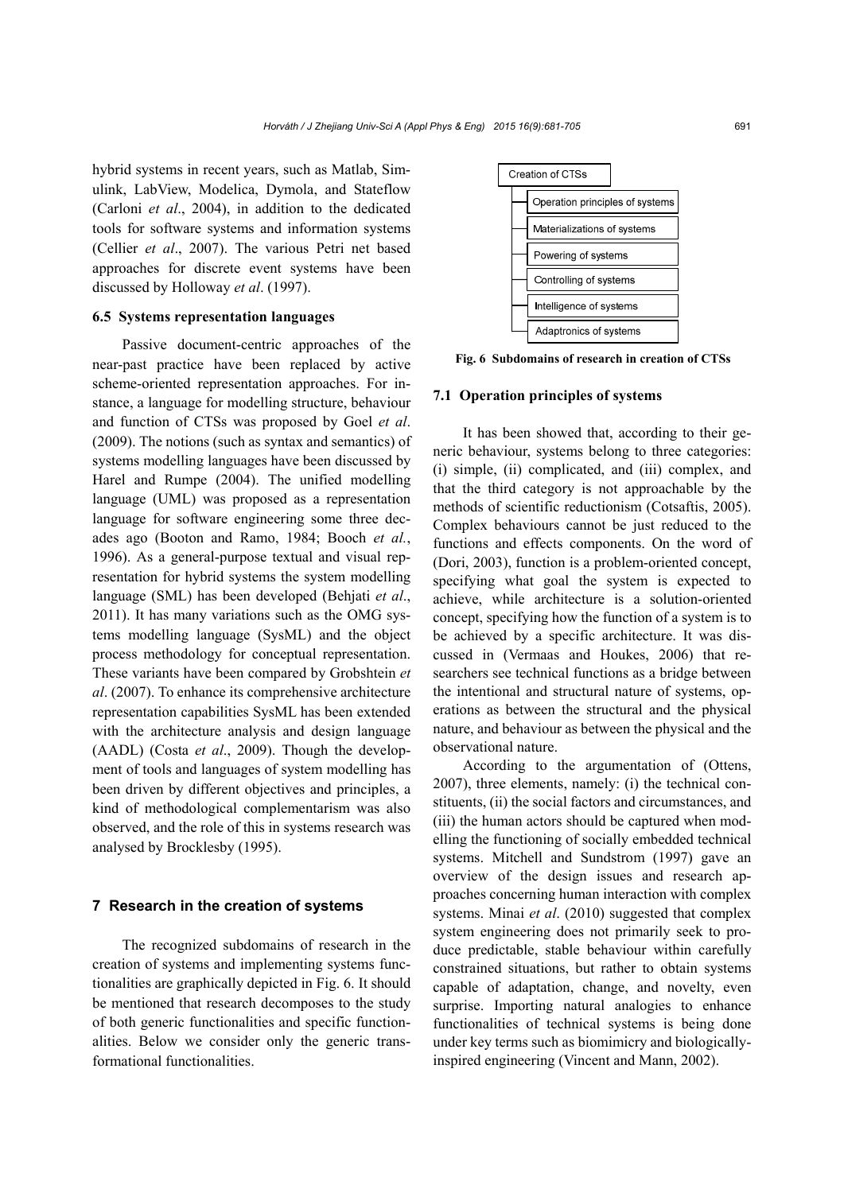hybrid systems in recent years, such as Matlab, Simulink, LabView, Modelica, Dymola, and Stateflow (Carloni *et al*., 2004), in addition to the dedicated tools for software systems and information systems (Cellier *et al*., 2007). The various Petri net based approaches for discrete event systems have been discussed by Holloway *et al*. (1997).

#### **6.5 Systems representation languages**

Passive document-centric approaches of the near-past practice have been replaced by active scheme-oriented representation approaches. For instance, a language for modelling structure, behaviour and function of CTSs was proposed by Goel *et al*. (2009). The notions (such as syntax and semantics) of systems modelling languages have been discussed by Harel and Rumpe (2004). The unified modelling language (UML) was proposed as a representation language for software engineering some three decades ago (Booton and Ramo, 1984; Booch *et al.*, 1996). As a general-purpose textual and visual representation for hybrid systems the system modelling language (SML) has been developed (Behjati *et al*., 2011). It has many variations such as the OMG systems modelling language (SysML) and the object process methodology for conceptual representation. These variants have been compared by Grobshtein *et al*. (2007). To enhance its comprehensive architecture representation capabilities SysML has been extended with the architecture analysis and design language (AADL) (Costa *et al*., 2009). Though the development of tools and languages of system modelling has been driven by different objectives and principles, a kind of methodological complementarism was also observed, and the role of this in systems research was analysed by Brocklesby (1995).

### **7 Research in the creation of systems**

The recognized subdomains of research in the creation of systems and implementing systems functionalities are graphically depicted in Fig. 6. It should be mentioned that research decomposes to the study of both generic functionalities and specific functionalities. Below we consider only the generic transformational functionalities.



**Fig. 6 Subdomains of research in creation of CTSs** 

#### **7.1 Operation principles of systems**

It has been showed that, according to their generic behaviour, systems belong to three categories: (i) simple, (ii) complicated, and (iii) complex, and that the third category is not approachable by the methods of scientific reductionism (Cotsaftis, 2005). Complex behaviours cannot be just reduced to the functions and effects components. On the word of (Dori, 2003), function is a problem-oriented concept, specifying what goal the system is expected to achieve, while architecture is a solution-oriented concept, specifying how the function of a system is to be achieved by a specific architecture. It was discussed in (Vermaas and Houkes, 2006) that researchers see technical functions as a bridge between the intentional and structural nature of systems, operations as between the structural and the physical nature, and behaviour as between the physical and the observational nature.

According to the argumentation of (Ottens, 2007), three elements, namely: (i) the technical constituents, (ii) the social factors and circumstances, and (iii) the human actors should be captured when modelling the functioning of socially embedded technical systems. Mitchell and Sundstrom (1997) gave an overview of the design issues and research approaches concerning human interaction with complex systems. Minai *et al*. (2010) suggested that complex system engineering does not primarily seek to produce predictable, stable behaviour within carefully constrained situations, but rather to obtain systems capable of adaptation, change, and novelty, even surprise. Importing natural analogies to enhance functionalities of technical systems is being done under key terms such as biomimicry and biologicallyinspired engineering (Vincent and Mann, 2002).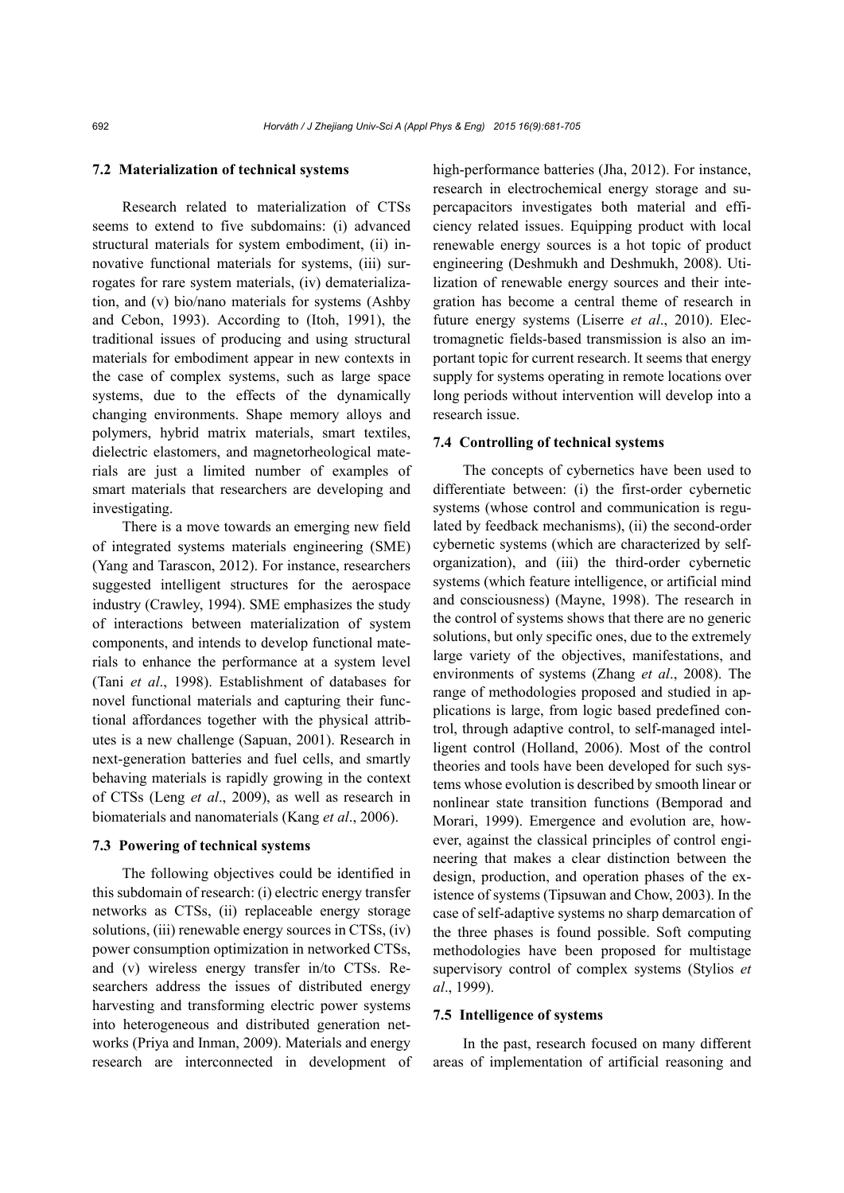#### **7.2 Materialization of technical systems**

Research related to materialization of CTSs seems to extend to five subdomains: (i) advanced structural materials for system embodiment, (ii) innovative functional materials for systems, (iii) surrogates for rare system materials, (iv) dematerialization, and (v) bio/nano materials for systems (Ashby and Cebon, 1993). According to (Itoh, 1991), the traditional issues of producing and using structural materials for embodiment appear in new contexts in the case of complex systems, such as large space systems, due to the effects of the dynamically changing environments. Shape memory alloys and polymers, hybrid matrix materials, smart textiles, dielectric elastomers, and magnetorheological materials are just a limited number of examples of smart materials that researchers are developing and investigating.

There is a move towards an emerging new field of integrated systems materials engineering (SME) (Yang and Tarascon, 2012). For instance, researchers suggested intelligent structures for the aerospace industry (Crawley, 1994). SME emphasizes the study of interactions between materialization of system components, and intends to develop functional materials to enhance the performance at a system level (Tani *et al*., 1998). Establishment of databases for novel functional materials and capturing their functional affordances together with the physical attributes is a new challenge (Sapuan, 2001). Research in next-generation batteries and fuel cells, and smartly behaving materials is rapidly growing in the context of CTSs (Leng *et al*., 2009), as well as research in biomaterials and nanomaterials (Kang *et al*., 2006).

## **7.3 Powering of technical systems**

The following objectives could be identified in this subdomain of research: (i) electric energy transfer networks as CTSs, (ii) replaceable energy storage solutions, (iii) renewable energy sources in CTSs, (iv) power consumption optimization in networked CTSs, and (v) wireless energy transfer in/to CTSs. Researchers address the issues of distributed energy harvesting and transforming electric power systems into heterogeneous and distributed generation networks (Priya and Inman, 2009). Materials and energy research are interconnected in development of high-performance batteries (Jha, 2012). For instance, research in electrochemical energy storage and supercapacitors investigates both material and efficiency related issues. Equipping product with local renewable energy sources is a hot topic of product engineering (Deshmukh and Deshmukh, 2008). Utilization of renewable energy sources and their integration has become a central theme of research in future energy systems (Liserre *et al*., 2010). Electromagnetic fields-based transmission is also an important topic for current research. It seems that energy supply for systems operating in remote locations over long periods without intervention will develop into a research issue.

## **7.4 Controlling of technical systems**

The concepts of cybernetics have been used to differentiate between: (i) the first-order cybernetic systems (whose control and communication is regulated by feedback mechanisms), (ii) the second-order cybernetic systems (which are characterized by selforganization), and (iii) the third-order cybernetic systems (which feature intelligence, or artificial mind and consciousness) (Mayne, 1998). The research in the control of systems shows that there are no generic solutions, but only specific ones, due to the extremely large variety of the objectives, manifestations, and environments of systems (Zhang *et al*., 2008). The range of methodologies proposed and studied in applications is large, from logic based predefined control, through adaptive control, to self-managed intelligent control (Holland, 2006). Most of the control theories and tools have been developed for such systems whose evolution is described by smooth linear or nonlinear state transition functions (Bemporad and Morari, 1999). Emergence and evolution are, however, against the classical principles of control engineering that makes a clear distinction between the design, production, and operation phases of the existence of systems (Tipsuwan and Chow, 2003). In the case of self-adaptive systems no sharp demarcation of the three phases is found possible. Soft computing methodologies have been proposed for multistage supervisory control of complex systems (Stylios *et al*., 1999).

## **7.5 Intelligence of systems**

In the past, research focused on many different areas of implementation of artificial reasoning and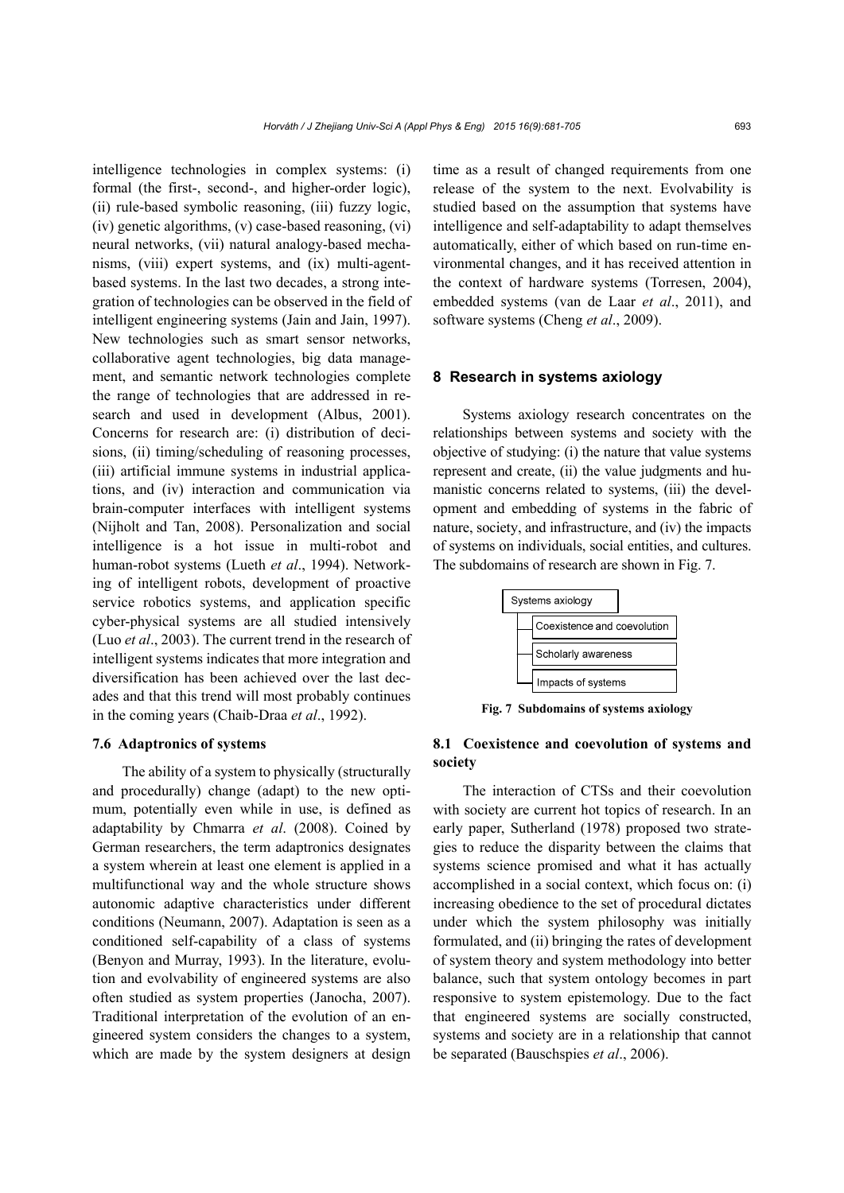intelligence technologies in complex systems: (i) formal (the first-, second-, and higher-order logic), (ii) rule-based symbolic reasoning, (iii) fuzzy logic, (iv) genetic algorithms, (v) case-based reasoning, (vi) neural networks, (vii) natural analogy-based mechanisms, (viii) expert systems, and (ix) multi-agentbased systems. In the last two decades, a strong integration of technologies can be observed in the field of intelligent engineering systems (Jain and Jain, 1997). New technologies such as smart sensor networks, collaborative agent technologies, big data management, and semantic network technologies complete the range of technologies that are addressed in research and used in development (Albus, 2001). Concerns for research are: (i) distribution of decisions, (ii) timing/scheduling of reasoning processes, (iii) artificial immune systems in industrial applications, and (iv) interaction and communication via brain-computer interfaces with intelligent systems (Nijholt and Tan, 2008). Personalization and social intelligence is a hot issue in multi-robot and human-robot systems (Lueth *et al*., 1994). Networking of intelligent robots, development of proactive service robotics systems, and application specific cyber-physical systems are all studied intensively (Luo *et al*., 2003). The current trend in the research of intelligent systems indicates that more integration and diversification has been achieved over the last decades and that this trend will most probably continues in the coming years (Chaib-Draa *et al*., 1992).

# **7.6 Adaptronics of systems**

The ability of a system to physically (structurally and procedurally) change (adapt) to the new optimum, potentially even while in use, is defined as adaptability by Chmarra *et al*. (2008). Coined by German researchers, the term adaptronics designates a system wherein at least one element is applied in a multifunctional way and the whole structure shows autonomic adaptive characteristics under different conditions (Neumann, 2007). Adaptation is seen as a conditioned self-capability of a class of systems (Benyon and Murray, 1993). In the literature, evolution and evolvability of engineered systems are also often studied as system properties (Janocha, 2007). Traditional interpretation of the evolution of an engineered system considers the changes to a system, which are made by the system designers at design

time as a result of changed requirements from one release of the system to the next. Evolvability is studied based on the assumption that systems have intelligence and self-adaptability to adapt themselves automatically, either of which based on run-time environmental changes, and it has received attention in the context of hardware systems (Torresen, 2004), embedded systems (van de Laar *et al*., 2011), and software systems (Cheng *et al*., 2009).

#### **8 Research in systems axiology**

Systems axiology research concentrates on the relationships between systems and society with the objective of studying: (i) the nature that value systems represent and create, (ii) the value judgments and humanistic concerns related to systems, (iii) the development and embedding of systems in the fabric of nature, society, and infrastructure, and (iv) the impacts of systems on individuals, social entities, and cultures. The subdomains of research are shown in Fig. 7.



**Fig. 7 Subdomains of systems axiology** 

# **8.1 Coexistence and coevolution of systems and society**

The interaction of CTSs and their coevolution with society are current hot topics of research. In an early paper, Sutherland (1978) proposed two strategies to reduce the disparity between the claims that systems science promised and what it has actually accomplished in a social context, which focus on: (i) increasing obedience to the set of procedural dictates under which the system philosophy was initially formulated, and (ii) bringing the rates of development of system theory and system methodology into better balance, such that system ontology becomes in part responsive to system epistemology. Due to the fact that engineered systems are socially constructed, systems and society are in a relationship that cannot be separated (Bauschspies *et al*., 2006).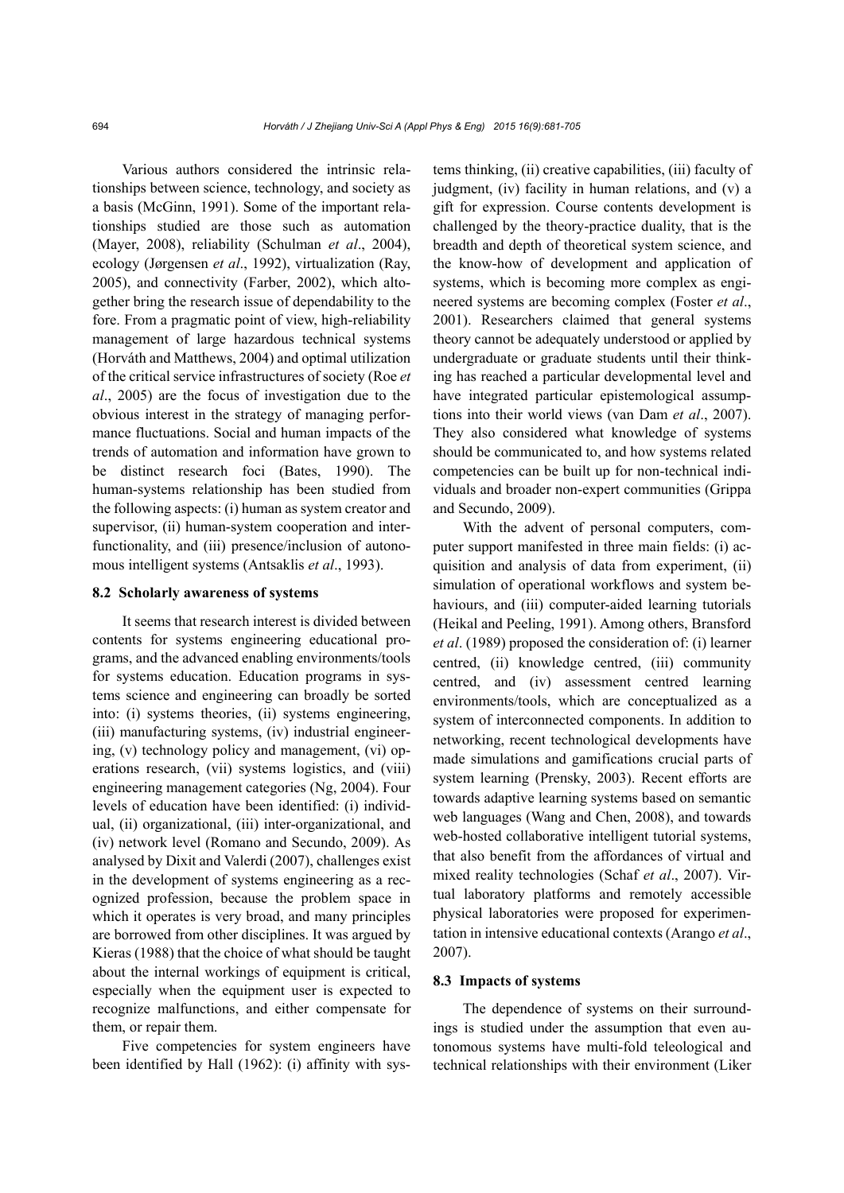Various authors considered the intrinsic relationships between science, technology, and society as a basis (McGinn, 1991). Some of the important relationships studied are those such as automation (Mayer, 2008), reliability (Schulman *et al*., 2004), ecology (Jørgensen *et al*., 1992), virtualization (Ray, 2005), and connectivity (Farber, 2002), which altogether bring the research issue of dependability to the fore. From a pragmatic point of view, high-reliability management of large hazardous technical systems (Horváth and Matthews, 2004) and optimal utilization of the critical service infrastructures of society (Roe *et al*., 2005) are the focus of investigation due to the obvious interest in the strategy of managing performance fluctuations. Social and human impacts of the trends of automation and information have grown to be distinct research foci (Bates, 1990). The human-systems relationship has been studied from the following aspects: (i) human as system creator and supervisor, (ii) human-system cooperation and interfunctionality, and (iii) presence/inclusion of autonomous intelligent systems (Antsaklis *et al*., 1993).

#### **8.2 Scholarly awareness of systems**

It seems that research interest is divided between contents for systems engineering educational programs, and the advanced enabling environments/tools for systems education. Education programs in systems science and engineering can broadly be sorted into: (i) systems theories, (ii) systems engineering, (iii) manufacturing systems, (iv) industrial engineering, (v) technology policy and management, (vi) operations research, (vii) systems logistics, and (viii) engineering management categories (Ng, 2004). Four levels of education have been identified: (i) individual, (ii) organizational, (iii) inter-organizational, and (iv) network level (Romano and Secundo, 2009). As analysed by Dixit and Valerdi (2007), challenges exist in the development of systems engineering as a recognized profession, because the problem space in which it operates is very broad, and many principles are borrowed from other disciplines. It was argued by Kieras (1988) that the choice of what should be taught about the internal workings of equipment is critical, especially when the equipment user is expected to recognize malfunctions, and either compensate for them, or repair them.

Five competencies for system engineers have been identified by Hall (1962): (i) affinity with systems thinking, (ii) creative capabilities, (iii) faculty of judgment, (iv) facility in human relations, and (v) a gift for expression. Course contents development is challenged by the theory-practice duality, that is the breadth and depth of theoretical system science, and the know-how of development and application of systems, which is becoming more complex as engineered systems are becoming complex (Foster *et al*., 2001). Researchers claimed that general systems theory cannot be adequately understood or applied by undergraduate or graduate students until their thinking has reached a particular developmental level and have integrated particular epistemological assumptions into their world views (van Dam *et al*., 2007). They also considered what knowledge of systems should be communicated to, and how systems related competencies can be built up for non-technical individuals and broader non-expert communities (Grippa and Secundo, 2009).

With the advent of personal computers, computer support manifested in three main fields: (i) acquisition and analysis of data from experiment, (ii) simulation of operational workflows and system behaviours, and (iii) computer-aided learning tutorials (Heikal and Peeling, 1991). Among others, Bransford *et al*. (1989) proposed the consideration of: (i) learner centred, (ii) knowledge centred, (iii) community centred, and (iv) assessment centred learning environments/tools, which are conceptualized as a system of interconnected components. In addition to networking, recent technological developments have made simulations and gamifications crucial parts of system learning (Prensky, 2003). Recent efforts are towards adaptive learning systems based on semantic web languages (Wang and Chen, 2008), and towards web-hosted collaborative intelligent tutorial systems, that also benefit from the affordances of virtual and mixed reality technologies (Schaf *et al*., 2007). Virtual laboratory platforms and remotely accessible physical laboratories were proposed for experimentation in intensive educational contexts (Arango *et al*., 2007).

#### **8.3 Impacts of systems**

The dependence of systems on their surroundings is studied under the assumption that even autonomous systems have multi-fold teleological and technical relationships with their environment (Liker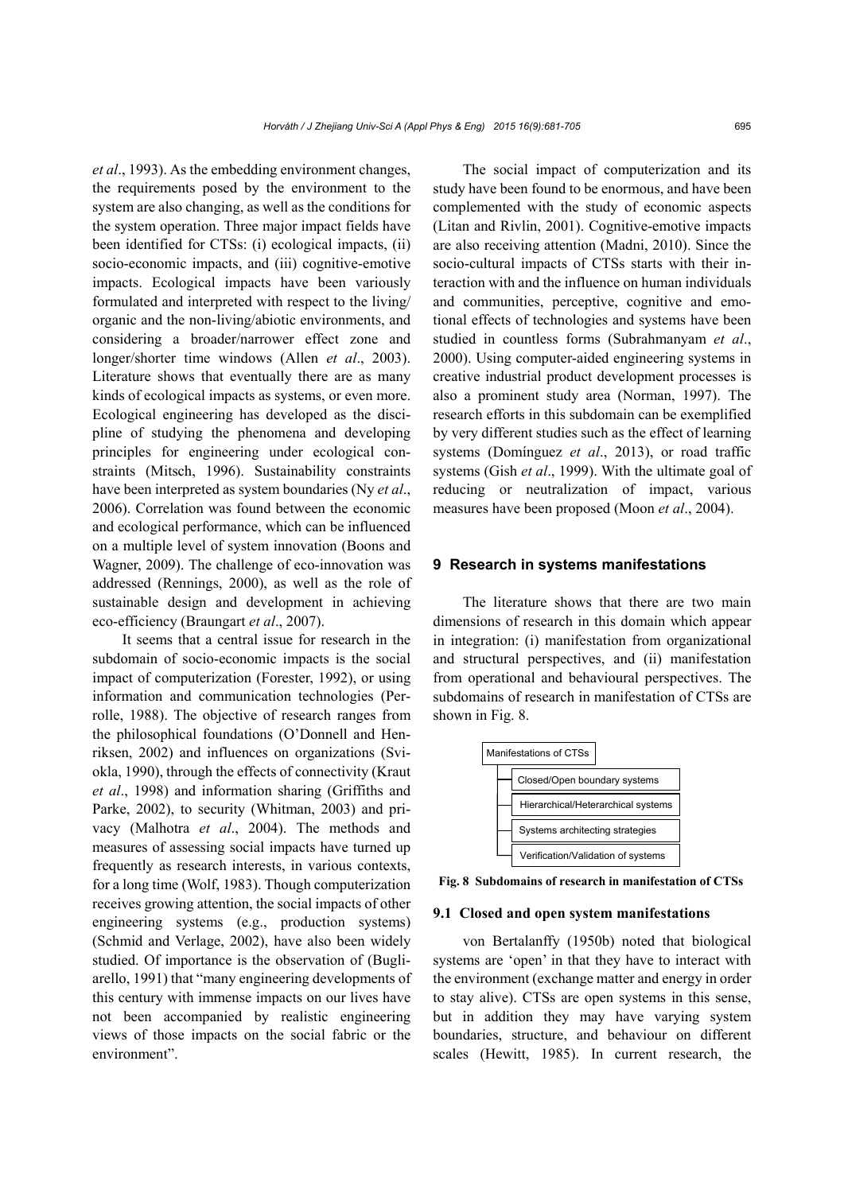*et al*., 1993). As the embedding environment changes, the requirements posed by the environment to the system are also changing, as well as the conditions for the system operation. Three major impact fields have been identified for CTSs: (i) ecological impacts, (ii) socio-economic impacts, and (iii) cognitive-emotive impacts. Ecological impacts have been variously formulated and interpreted with respect to the living/ organic and the non-living/abiotic environments, and considering a broader/narrower effect zone and longer/shorter time windows (Allen *et al*., 2003). Literature shows that eventually there are as many kinds of ecological impacts as systems, or even more. Ecological engineering has developed as the discipline of studying the phenomena and developing principles for engineering under ecological constraints (Mitsch, 1996). Sustainability constraints have been interpreted as system boundaries (Ny *et al*., 2006). Correlation was found between the economic and ecological performance, which can be influenced on a multiple level of system innovation (Boons and Wagner, 2009). The challenge of eco-innovation was addressed (Rennings, 2000), as well as the role of sustainable design and development in achieving eco-efficiency (Braungart *et al*., 2007).

It seems that a central issue for research in the subdomain of socio-economic impacts is the social impact of computerization (Forester, 1992), or using information and communication technologies (Perrolle, 1988). The objective of research ranges from the philosophical foundations (O'Donnell and Henriksen, 2002) and influences on organizations (Sviokla, 1990), through the effects of connectivity (Kraut *et al*., 1998) and information sharing (Griffiths and Parke, 2002), to security (Whitman, 2003) and privacy (Malhotra *et al*., 2004). The methods and measures of assessing social impacts have turned up frequently as research interests, in various contexts, for a long time (Wolf, 1983). Though computerization receives growing attention, the social impacts of other engineering systems (e.g., production systems) (Schmid and Verlage, 2002), have also been widely studied. Of importance is the observation of (Bugliarello, 1991) that "many engineering developments of this century with immense impacts on our lives have not been accompanied by realistic engineering views of those impacts on the social fabric or the environment".

The social impact of computerization and its study have been found to be enormous, and have been complemented with the study of economic aspects (Litan and Rivlin, 2001). Cognitive-emotive impacts are also receiving attention (Madni, 2010). Since the socio-cultural impacts of CTSs starts with their interaction with and the influence on human individuals and communities, perceptive, cognitive and emotional effects of technologies and systems have been studied in countless forms (Subrahmanyam *et al*., 2000). Using computer-aided engineering systems in creative industrial product development processes is also a prominent study area (Norman, 1997). The research efforts in this subdomain can be exemplified by very different studies such as the effect of learning systems (Domínguez *et al*., 2013), or road traffic systems (Gish *et al*., 1999). With the ultimate goal of reducing or neutralization of impact, various measures have been proposed (Moon *et al*., 2004).

#### **9 Research in systems manifestations**

The literature shows that there are two main dimensions of research in this domain which appear in integration: (i) manifestation from organizational and structural perspectives, and (ii) manifestation from operational and behavioural perspectives. The subdomains of research in manifestation of CTSs are shown in Fig. 8.



**Fig. 8 Subdomains of research in manifestation of CTSs**

# **9.1 Closed and open system manifestations**

von Bertalanffy (1950b) noted that biological systems are 'open' in that they have to interact with the environment (exchange matter and energy in order to stay alive). CTSs are open systems in this sense, but in addition they may have varying system boundaries, structure, and behaviour on different scales (Hewitt, 1985). In current research, the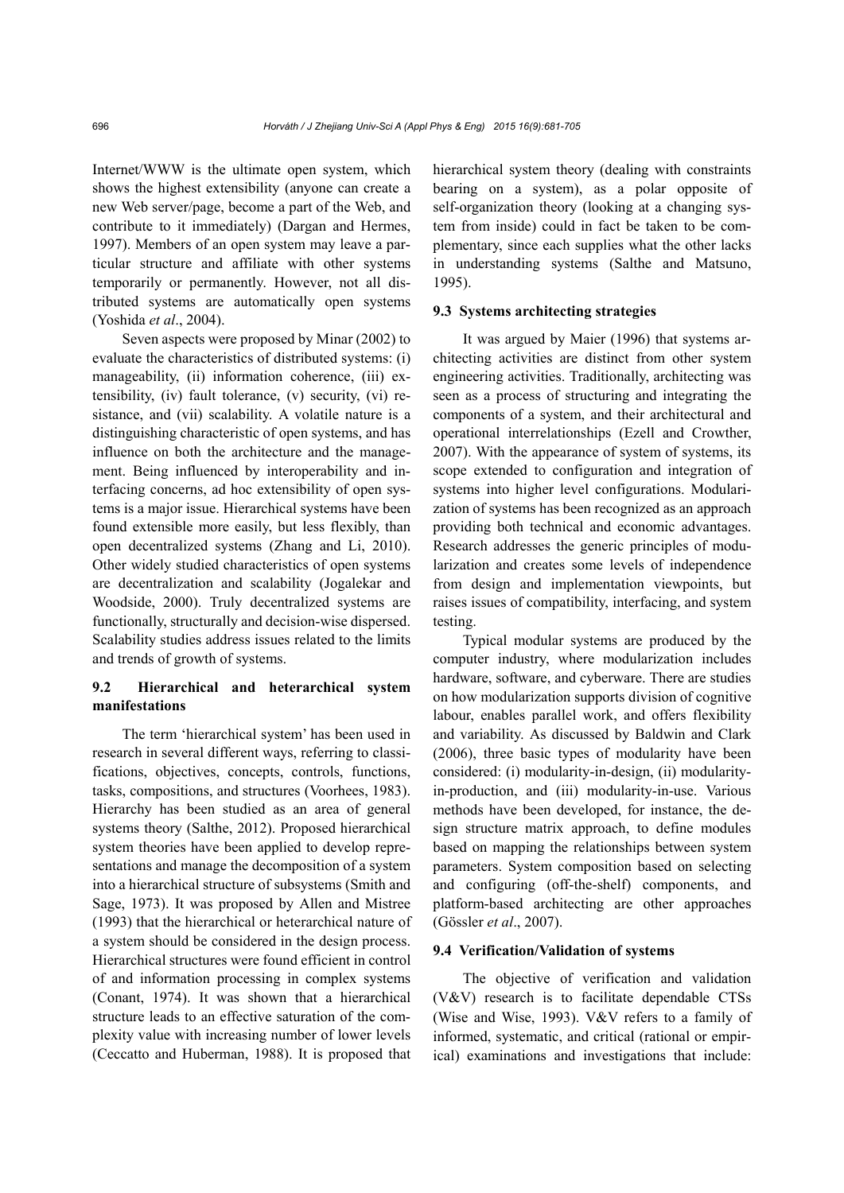Internet/WWW is the ultimate open system, which shows the highest extensibility (anyone can create a new Web server/page, become a part of the Web, and contribute to it immediately) (Dargan and Hermes, 1997). Members of an open system may leave a particular structure and affiliate with other systems temporarily or permanently. However, not all distributed systems are automatically open systems (Yoshida *et al*., 2004).

Seven aspects were proposed by Minar (2002) to evaluate the characteristics of distributed systems: (i) manageability, (ii) information coherence, (iii) extensibility, (iv) fault tolerance, (v) security, (vi) resistance, and (vii) scalability. A volatile nature is a distinguishing characteristic of open systems, and has influence on both the architecture and the management. Being influenced by interoperability and interfacing concerns, ad hoc extensibility of open systems is a major issue. Hierarchical systems have been found extensible more easily, but less flexibly, than open decentralized systems (Zhang and Li, 2010). Other widely studied characteristics of open systems are decentralization and scalability (Jogalekar and Woodside, 2000). Truly decentralized systems are functionally, structurally and decision-wise dispersed. Scalability studies address issues related to the limits and trends of growth of systems.

# **9.2 Hierarchical and heterarchical system manifestations**

The term 'hierarchical system' has been used in research in several different ways, referring to classifications, objectives, concepts, controls, functions, tasks, compositions, and structures (Voorhees, 1983). Hierarchy has been studied as an area of general systems theory (Salthe, 2012). Proposed hierarchical system theories have been applied to develop representations and manage the decomposition of a system into a hierarchical structure of subsystems (Smith and Sage, 1973). It was proposed by Allen and Mistree (1993) that the hierarchical or heterarchical nature of a system should be considered in the design process. Hierarchical structures were found efficient in control of and information processing in complex systems (Conant, 1974). It was shown that a hierarchical structure leads to an effective saturation of the complexity value with increasing number of lower levels (Ceccatto and Huberman, 1988). It is proposed that hierarchical system theory (dealing with constraints bearing on a system), as a polar opposite of self-organization theory (looking at a changing system from inside) could in fact be taken to be complementary, since each supplies what the other lacks in understanding systems (Salthe and Matsuno, 1995).

# **9.3 Systems architecting strategies**

It was argued by Maier (1996) that systems architecting activities are distinct from other system engineering activities. Traditionally, architecting was seen as a process of structuring and integrating the components of a system, and their architectural and operational interrelationships (Ezell and Crowther, 2007). With the appearance of system of systems, its scope extended to configuration and integration of systems into higher level configurations. Modularization of systems has been recognized as an approach providing both technical and economic advantages. Research addresses the generic principles of modularization and creates some levels of independence from design and implementation viewpoints, but raises issues of compatibility, interfacing, and system testing.

Typical modular systems are produced by the computer industry, where modularization includes hardware, software, and cyberware. There are studies on how modularization supports division of cognitive labour, enables parallel work, and offers flexibility and variability. As discussed by Baldwin and Clark (2006), three basic types of modularity have been considered: (i) modularity-in-design, (ii) modularityin-production, and (iii) modularity-in-use. Various methods have been developed, for instance, the design structure matrix approach, to define modules based on mapping the relationships between system parameters. System composition based on selecting and configuring (off-the-shelf) components, and platform-based architecting are other approaches (Gössler *et al*., 2007).

#### **9.4 Verification/Validation of systems**

The objective of verification and validation (V&V) research is to facilitate dependable CTSs (Wise and Wise, 1993). V&V refers to a family of informed, systematic, and critical (rational or empirical) examinations and investigations that include: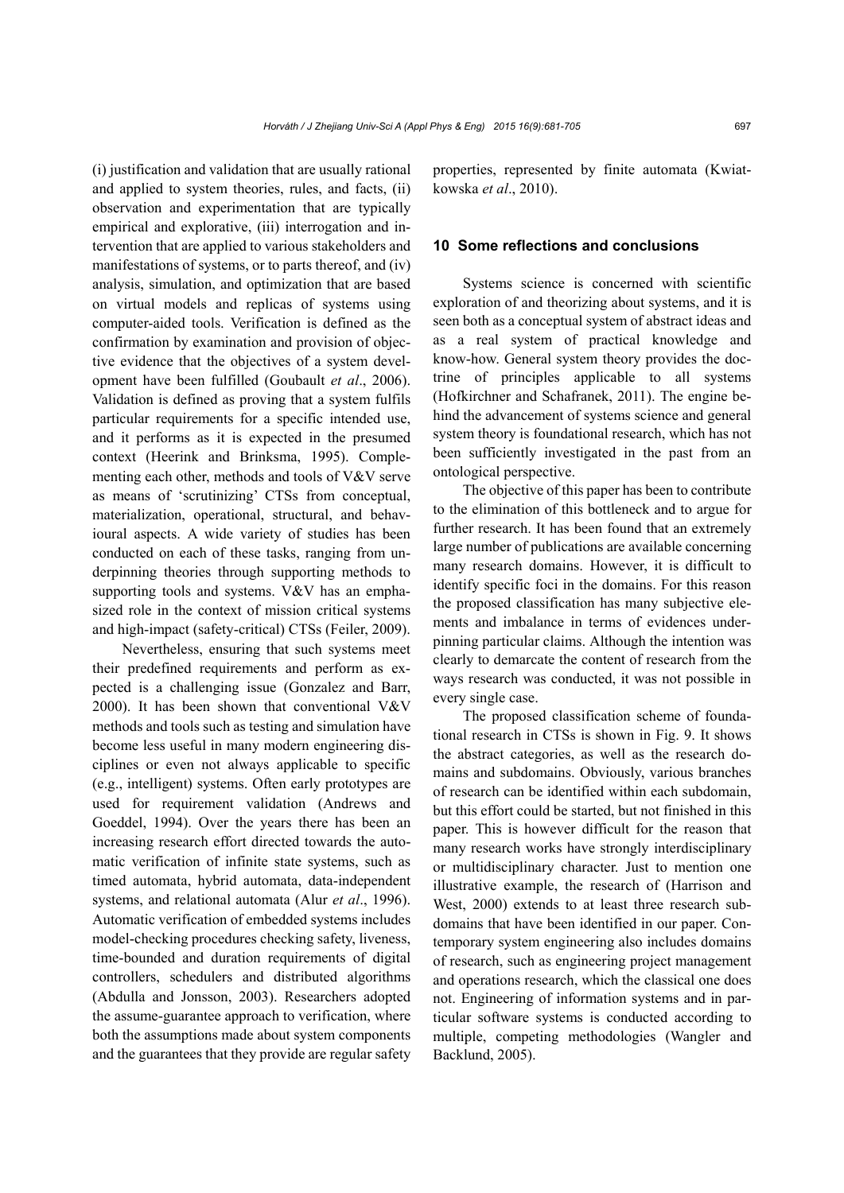(i) justification and validation that are usually rational and applied to system theories, rules, and facts, (ii) observation and experimentation that are typically empirical and explorative, (iii) interrogation and intervention that are applied to various stakeholders and manifestations of systems, or to parts thereof, and (iv) analysis, simulation, and optimization that are based on virtual models and replicas of systems using computer-aided tools. Verification is defined as the confirmation by examination and provision of objective evidence that the objectives of a system development have been fulfilled (Goubault *et al*., 2006). Validation is defined as proving that a system fulfils particular requirements for a specific intended use, and it performs as it is expected in the presumed context (Heerink and Brinksma, 1995). Complementing each other, methods and tools of V&V serve as means of 'scrutinizing' CTSs from conceptual, materialization, operational, structural, and behavioural aspects. A wide variety of studies has been conducted on each of these tasks, ranging from underpinning theories through supporting methods to supporting tools and systems. V&V has an emphasized role in the context of mission critical systems and high-impact (safety-critical) CTSs (Feiler, 2009).

Nevertheless, ensuring that such systems meet their predefined requirements and perform as expected is a challenging issue (Gonzalez and Barr, 2000). It has been shown that conventional V&V methods and tools such as testing and simulation have become less useful in many modern engineering disciplines or even not always applicable to specific (e.g., intelligent) systems. Often early prototypes are used for requirement validation (Andrews and Goeddel, 1994). Over the years there has been an increasing research effort directed towards the automatic verification of infinite state systems, such as timed automata, hybrid automata, data-independent systems, and relational automata (Alur *et al*., 1996). Automatic verification of embedded systems includes model-checking procedures checking safety, liveness, time-bounded and duration requirements of digital controllers, schedulers and distributed algorithms (Abdulla and Jonsson, 2003). Researchers adopted the assume-guarantee approach to verification, where both the assumptions made about system components and the guarantees that they provide are regular safety properties, represented by finite automata (Kwiatkowska *et al*., 2010).

#### **10 Some reflections and conclusions**

Systems science is concerned with scientific exploration of and theorizing about systems, and it is seen both as a conceptual system of abstract ideas and as a real system of practical knowledge and know-how. General system theory provides the doctrine of principles applicable to all systems (Hofkirchner and Schafranek, 2011). The engine behind the advancement of systems science and general system theory is foundational research, which has not been sufficiently investigated in the past from an ontological perspective.

The objective of this paper has been to contribute to the elimination of this bottleneck and to argue for further research. It has been found that an extremely large number of publications are available concerning many research domains. However, it is difficult to identify specific foci in the domains. For this reason the proposed classification has many subjective elements and imbalance in terms of evidences underpinning particular claims. Although the intention was clearly to demarcate the content of research from the ways research was conducted, it was not possible in every single case.

The proposed classification scheme of foundational research in CTSs is shown in Fig. 9. It shows the abstract categories, as well as the research domains and subdomains. Obviously, various branches of research can be identified within each subdomain, but this effort could be started, but not finished in this paper. This is however difficult for the reason that many research works have strongly interdisciplinary or multidisciplinary character. Just to mention one illustrative example, the research of (Harrison and West, 2000) extends to at least three research subdomains that have been identified in our paper. Contemporary system engineering also includes domains of research, such as engineering project management and operations research, which the classical one does not. Engineering of information systems and in particular software systems is conducted according to multiple, competing methodologies (Wangler and Backlund, 2005).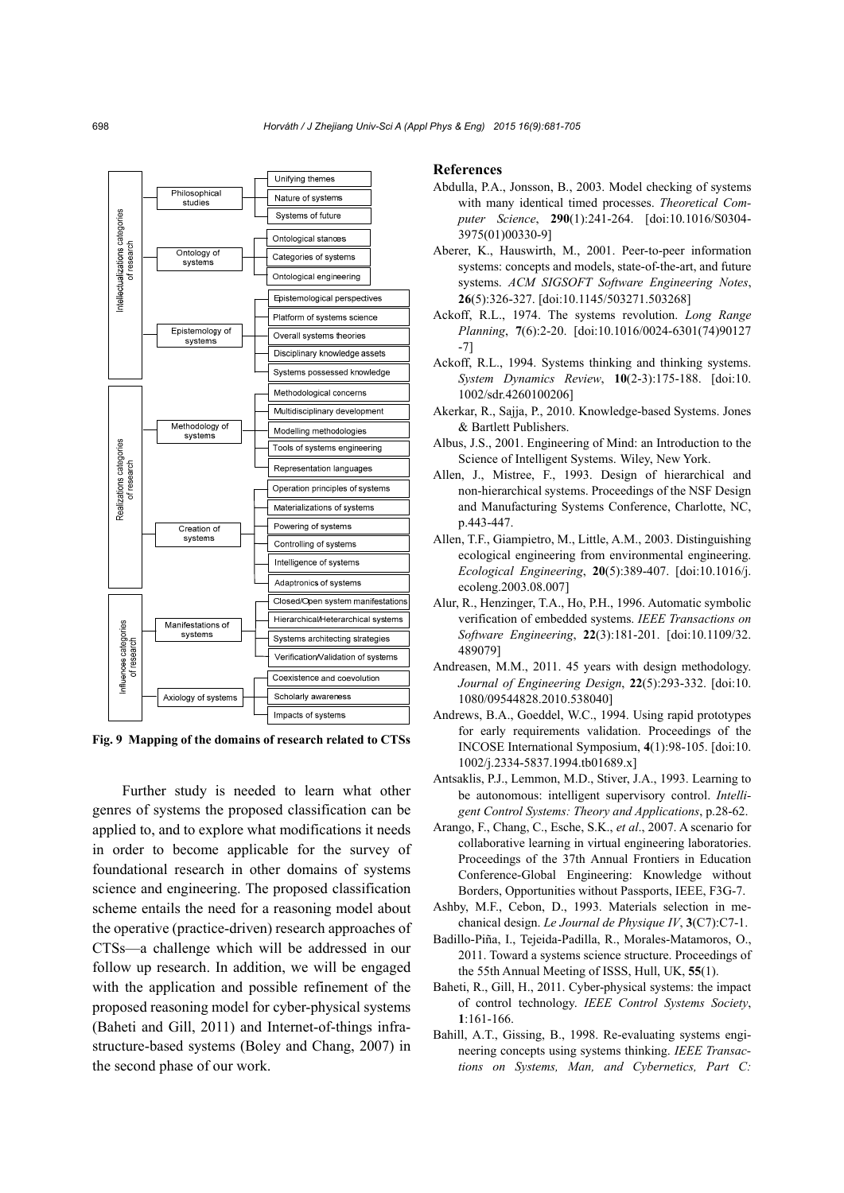

**Fig. 9 Mapping of the domains of research related to CTSs**

Further study is needed to learn what other genres of systems the proposed classification can be applied to, and to explore what modifications it needs in order to become applicable for the survey of foundational research in other domains of systems science and engineering. The proposed classification scheme entails the need for a reasoning model about the operative (practice-driven) research approaches of CTSs—a challenge which will be addressed in our follow up research. In addition, we will be engaged with the application and possible refinement of the proposed reasoning model for cyber-physical systems (Baheti and Gill, 2011) and Internet-of-things infrastructure-based systems (Boley and Chang, 2007) in the second phase of our work.

#### **References**

- Abdulla, P.A., Jonsson, B., 2003. Model checking of systems with many identical timed processes. *Theoretical Computer Science*, **290**(1):241-264. [doi:10.1016/S0304- 3975(01)00330-9]
- Aberer, K., Hauswirth, M., 2001. Peer-to-peer information systems: concepts and models, state-of-the-art, and future systems. *ACM SIGSOFT Software Engineering Notes*, **26**(5):326-327. [doi:10.1145/503271.503268]
- Ackoff, R.L., 1974. The systems revolution. *Long Range Planning*, **7**(6):2-20. [doi:10.1016/0024-6301(74)90127 -7]
- Ackoff, R.L., 1994. Systems thinking and thinking systems. *System Dynamics Review*, **10**(2-3):175-188. [doi:10. 1002/sdr.4260100206]
- Akerkar, R., Sajja, P., 2010. Knowledge-based Systems. Jones & Bartlett Publishers.
- Albus, J.S., 2001. Engineering of Mind: an Introduction to the Science of Intelligent Systems. Wiley, New York.
- Allen, J., Mistree, F., 1993. Design of hierarchical and non-hierarchical systems. Proceedings of the NSF Design and Manufacturing Systems Conference, Charlotte, NC, p.443-447.
- Allen, T.F., Giampietro, M., Little, A.M., 2003. Distinguishing ecological engineering from environmental engineering. *Ecological Engineering*, **20**(5):389-407. [doi:10.1016/j. ecoleng.2003.08.007]
- Alur, R., Henzinger, T.A., Ho, P.H., 1996. Automatic symbolic verification of embedded systems. *IEEE Transactions on Software Engineering*, **22**(3):181-201. [doi:10.1109/32. 489079]
- Andreasen, M.M., 2011. 45 years with design methodology. *Journal of Engineering Design*, **22**(5):293-332. [doi:10. 1080/09544828.2010.538040]
- Andrews, B.A., Goeddel, W.C., 1994. Using rapid prototypes for early requirements validation. Proceedings of the INCOSE International Symposium, **4**(1):98-105. [doi:10. 1002/j.2334-5837.1994.tb01689.x]
- Antsaklis, P.J., Lemmon, M.D., Stiver, J.A., 1993. Learning to be autonomous: intelligent supervisory control. *Intelligent Control Systems: Theory and Applications*, p.28-62.
- Arango, F., Chang, C., Esche, S.K., *et al*., 2007. A scenario for collaborative learning in virtual engineering laboratories. Proceedings of the 37th Annual Frontiers in Education Conference-Global Engineering: Knowledge without Borders, Opportunities without Passports, IEEE, F3G-7.
- Ashby, M.F., Cebon, D., 1993. Materials selection in mechanical design. *Le Journal de Physique IV*, **3**(C7):C7-1.
- Badillo-Piña, I., Tejeida-Padilla, R., Morales-Matamoros, O., 2011. Toward a systems science structure. Proceedings of the 55th Annual Meeting of ISSS, Hull, UK, **55**(1).
- Baheti, R., Gill, H., 2011. Cyber-physical systems: the impact of control technology. *IEEE Control Systems Society*, **1**:161-166.
- Bahill, A.T., Gissing, B., 1998. Re-evaluating systems engineering concepts using systems thinking. *IEEE Transactions on Systems, Man, and Cybernetics, Part C:*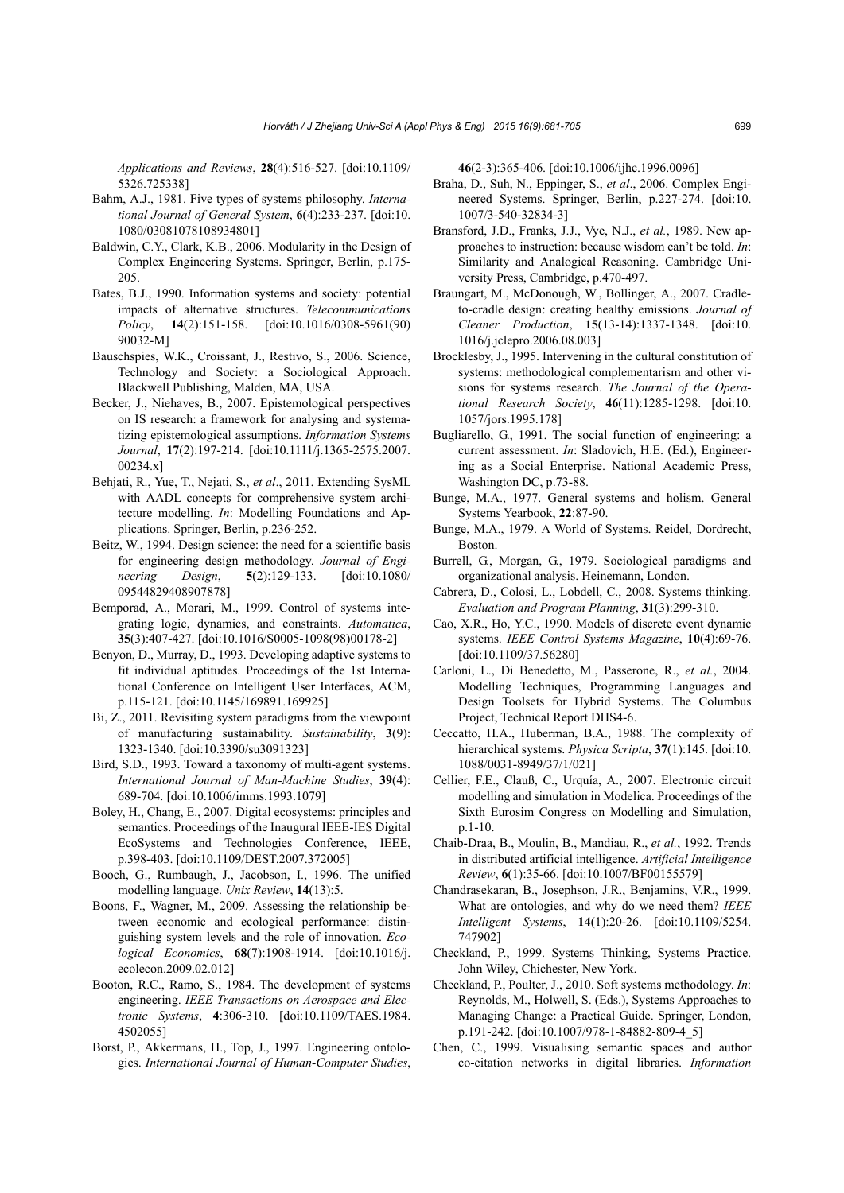*Applications and Reviews*, **28**(4):516-527. [doi:10.1109/ 5326.725338]

- Bahm, A.J., 1981. Five types of systems philosophy. *International Journal of General System*, **6**(4):233-237. [doi:10. 1080/03081078108934801]
- Baldwin, C.Y., Clark, K.B., 2006. Modularity in the Design of Complex Engineering Systems. Springer, Berlin, p.175- 205.
- Bates, B.J., 1990. Information systems and society: potential impacts of alternative structures. *Telecommunications Policy*, **14**(2):151-158. [doi:10.1016/0308-5961(90) 90032-M]
- Bauschspies, W.K., Croissant, J., Restivo, S., 2006. Science, Technology and Society: a Sociological Approach. Blackwell Publishing, Malden, MA, USA.
- Becker, J., Niehaves, B., 2007. Epistemological perspectives on IS research: a framework for analysing and systematizing epistemological assumptions. *Information Systems Journal*, **17**(2):197-214. [doi:10.1111/j.1365-2575.2007. 00234.x]
- Behjati, R., Yue, T., Nejati, S., *et al*., 2011. Extending SysML with AADL concepts for comprehensive system architecture modelling. *In*: Modelling Foundations and Applications. Springer, Berlin, p.236-252.
- Beitz, W., 1994. Design science: the need for a scientific basis for engineering design methodology. *Journal of Engineering Design*, **5**(2):129-133. [doi:10.1080/ 09544829408907878]
- Bemporad, A., Morari, M., 1999. Control of systems integrating logic, dynamics, and constraints. *Automatica*, **35**(3):407-427. [doi:10.1016/S0005-1098(98)00178-2]
- Benyon, D., Murray, D., 1993. Developing adaptive systems to fit individual aptitudes. Proceedings of the 1st International Conference on Intelligent User Interfaces, ACM, p.115-121. [doi:10.1145/169891.169925]
- Bi, Z., 2011. Revisiting system paradigms from the viewpoint of manufacturing sustainability. *Sustainability*, **3**(9): 1323-1340. [doi:10.3390/su3091323]
- Bird, S.D., 1993. Toward a taxonomy of multi-agent systems. *International Journal of Man-Machine Studies*, **39**(4): 689-704. [doi:10.1006/imms.1993.1079]
- Boley, H., Chang, E., 2007. Digital ecosystems: principles and semantics. Proceedings of the Inaugural IEEE-IES Digital EcoSystems and Technologies Conference, IEEE, p.398-403. [doi:10.1109/DEST.2007.372005]
- Booch, G., Rumbaugh, J., Jacobson, I., 1996. The unified modelling language. *Unix Review*, **14**(13):5.
- Boons, F., Wagner, M., 2009. Assessing the relationship between economic and ecological performance: distinguishing system levels and the role of innovation. *Ecological Economics*, **68**(7):1908-1914. [doi:10.1016/j. ecolecon.2009.02.012]
- Booton, R.C., Ramo, S., 1984. The development of systems engineering. *IEEE Transactions on Aerospace and Electronic Systems*, **4**:306-310. [doi:10.1109/TAES.1984. 4502055]
- Borst, P., Akkermans, H., Top, J., 1997. Engineering ontologies. *International Journal of Human-Computer Studies*,

**46**(2-3):365-406. [doi:10.1006/ijhc.1996.0096]

- Braha, D., Suh, N., Eppinger, S., *et al*., 2006. Complex Engineered Systems. Springer, Berlin, p.227-274. [doi:10. 1007/3-540-32834-3]
- Bransford, J.D., Franks, J.J., Vye, N.J., *et al.*, 1989. New approaches to instruction: because wisdom can't be told. *In*: Similarity and Analogical Reasoning. Cambridge University Press, Cambridge, p.470-497.
- Braungart, M., McDonough, W., Bollinger, A., 2007. Cradleto-cradle design: creating healthy emissions. *Journal of Cleaner Production*, **15**(13-14):1337-1348. [doi:10. 1016/j.jclepro.2006.08.003]
- Brocklesby, J., 1995. Intervening in the cultural constitution of systems: methodological complementarism and other visions for systems research. *The Journal of the Operational Research Society*, **46**(11):1285-1298. [doi:10. 1057/jors.1995.178]
- Bugliarello, G., 1991. The social function of engineering: a current assessment. *In*: Sladovich, H.E. (Ed.), Engineering as a Social Enterprise. National Academic Press, Washington DC, p.73-88.
- Bunge, M.A., 1977. General systems and holism. General Systems Yearbook, **22**:87-90.
- Bunge, M.A., 1979. A World of Systems. Reidel, Dordrecht, Boston.
- Burrell, G., Morgan, G., 1979. Sociological paradigms and organizational analysis. Heinemann, London.
- Cabrera, D., Colosi, L., Lobdell, C., 2008. Systems thinking. *Evaluation and Program Planning*, **31**(3):299-310.
- Cao, X.R., Ho, Y.C., 1990. Models of discrete event dynamic systems. *IEEE Control Systems Magazine*, **10**(4):69-76. [doi:10.1109/37.56280]
- Carloni, L., Di Benedetto, M., Passerone, R., *et al.*, 2004. Modelling Techniques, Programming Languages and Design Toolsets for Hybrid Systems. The Columbus Project, Technical Report DHS4-6.
- Ceccatto, H.A., Huberman, B.A., 1988. The complexity of hierarchical systems. *Physica Scripta*, **37**(1):145. [doi:10. 1088/0031-8949/37/1/021]
- Cellier, F.E., Clauß, C., Urquía, A., 2007. Electronic circuit modelling and simulation in Modelica. Proceedings of the Sixth Eurosim Congress on Modelling and Simulation, p.1-10.
- Chaib-Draa, B., Moulin, B., Mandiau, R., *et al.*, 1992. Trends in distributed artificial intelligence. *Artificial Intelligence Review*, **6**(1):35-66. [doi:10.1007/BF00155579]
- Chandrasekaran, B., Josephson, J.R., Benjamins, V.R., 1999. What are ontologies, and why do we need them? *IEEE Intelligent Systems*, **14**(1):20-26. [doi:10.1109/5254. 747902]
- Checkland, P., 1999. Systems Thinking, Systems Practice. John Wiley, Chichester, New York.
- Checkland, P., Poulter, J., 2010. Soft systems methodology. *In*: Reynolds, M., Holwell, S. (Eds.), Systems Approaches to Managing Change: a Practical Guide. Springer, London, p.191-242. [doi:10.1007/978-1-84882-809-4\_5]
- Chen, C., 1999. Visualising semantic spaces and author co-citation networks in digital libraries. *Information*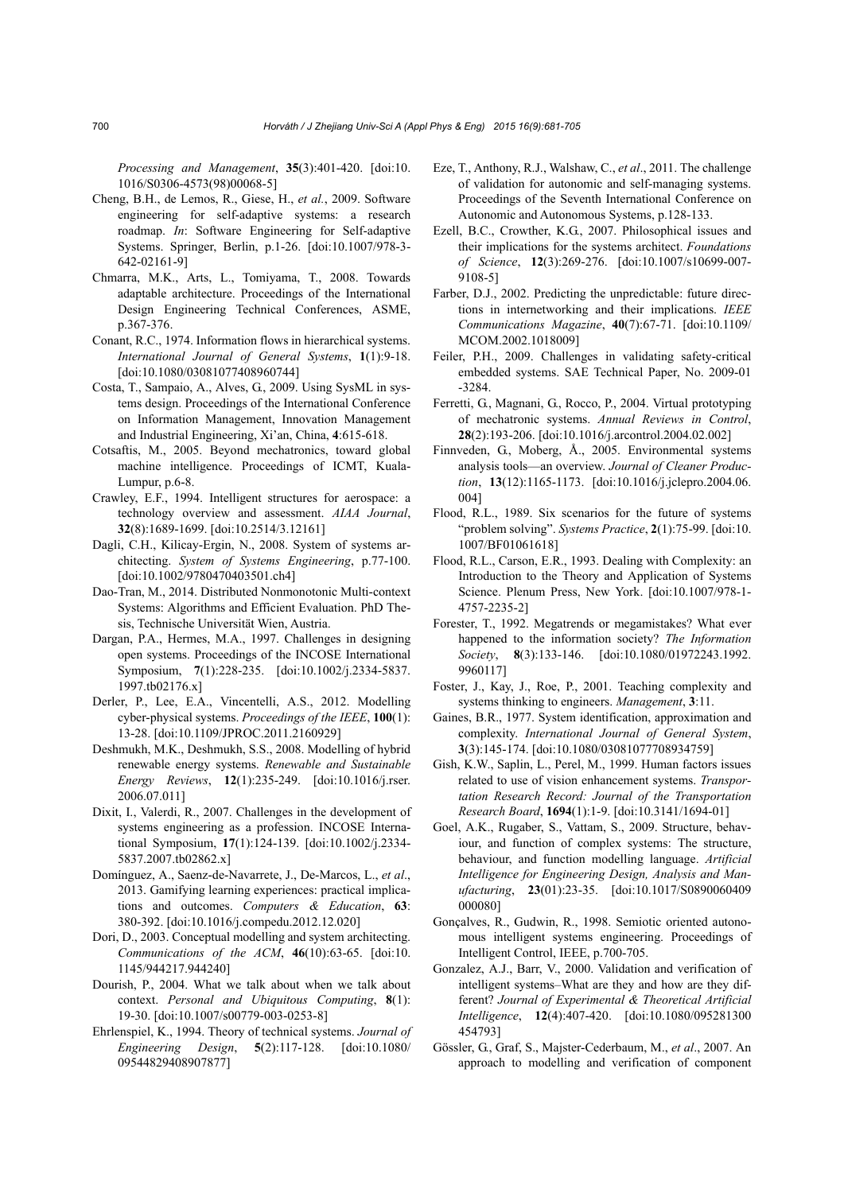*Processing and Management*, **35**(3):401-420. [doi:10. 1016/S0306-4573(98)00068-5]

- Cheng, B.H., de Lemos, R., Giese, H., *et al.*, 2009. Software engineering for self-adaptive systems: a research roadmap. *In*: Software Engineering for Self-adaptive Systems. Springer, Berlin, p.1-26. [doi:10.1007/978-3- 642-02161-9]
- Chmarra, M.K., Arts, L., Tomiyama, T., 2008. Towards adaptable architecture. Proceedings of the International Design Engineering Technical Conferences, ASME, p.367-376.
- Conant, R.C., 1974. Information flows in hierarchical systems. *International Journal of General Systems*, **1**(1):9-18. [doi:10.1080/03081077408960744]
- Costa, T., Sampaio, A., Alves, G., 2009. Using SysML in systems design. Proceedings of the International Conference on Information Management, Innovation Management and Industrial Engineering, Xi'an, China, **4**:615-618.
- Cotsaftis, M., 2005. Beyond mechatronics, toward global machine intelligence. Proceedings of ICMT, Kuala-Lumpur, p.6-8.
- Crawley, E.F., 1994. Intelligent structures for aerospace: a technology overview and assessment. *AIAA Journal*, **32**(8):1689-1699. [doi:10.2514/3.12161]
- Dagli, C.H., Kilicay-Ergin, N., 2008. System of systems architecting. *System of Systems Engineering*, p.77-100. [doi:10.1002/9780470403501.ch4]
- Dao-Tran, M., 2014. Distributed Nonmonotonic Multi-context Systems: Algorithms and Efficient Evaluation. PhD Thesis, Technische Universität Wien, Austria.
- Dargan, P.A., Hermes, M.A., 1997. Challenges in designing open systems. Proceedings of the INCOSE International Symposium, **7**(1):228-235. [doi:10.1002/j.2334-5837. 1997.tb02176.x]
- Derler, P., Lee, E.A., Vincentelli, A.S., 2012. Modelling cyber-physical systems. *Proceedings of the IEEE*, **100**(1): 13-28. [doi:10.1109/JPROC.2011.2160929]
- Deshmukh, M.K., Deshmukh, S.S., 2008. Modelling of hybrid renewable energy systems. *Renewable and Sustainable Energy Reviews*, **12**(1):235-249. [doi:10.1016/j.rser. 2006.07.011]
- Dixit, I., Valerdi, R., 2007. Challenges in the development of systems engineering as a profession. INCOSE International Symposium, **17**(1):124-139. [doi:10.1002/j.2334- 5837.2007.tb02862.x]
- Domínguez, A., Saenz-de-Navarrete, J., De-Marcos, L., *et al*., 2013. Gamifying learning experiences: practical implications and outcomes. *Computers & Education*, **63**: 380-392. [doi:10.1016/j.compedu.2012.12.020]
- Dori, D., 2003. Conceptual modelling and system architecting. *Communications of the ACM*, **46**(10):63-65. [doi:10. 1145/944217.944240]
- Dourish, P., 2004. What we talk about when we talk about context. *Personal and Ubiquitous Computing*, **8**(1): 19-30. [doi:10.1007/s00779-003-0253-8]
- Ehrlenspiel, K., 1994. Theory of technical systems. *Journal of Engineering Design*, **5**(2):117-128. [doi:10.1080/ 09544829408907877]
- Eze, T., Anthony, R.J., Walshaw, C., *et al*., 2011. The challenge of validation for autonomic and self-managing systems. Proceedings of the Seventh International Conference on Autonomic and Autonomous Systems, p.128-133.
- Ezell, B.C., Crowther, K.G., 2007. Philosophical issues and their implications for the systems architect. *Foundations of Science*, **12**(3):269-276. [doi:10.1007/s10699-007- 9108-5]
- Farber, D.J., 2002. Predicting the unpredictable: future directions in internetworking and their implications. *IEEE Communications Magazine*, **40**(7):67-71. [doi:10.1109/ MCOM.2002.1018009]
- Feiler, P.H., 2009. Challenges in validating safety-critical embedded systems. SAE Technical Paper, No. 2009-01 -3284.
- Ferretti, G., Magnani, G., Rocco, P., 2004. Virtual prototyping of mechatronic systems. *Annual Reviews in Control*, **28**(2):193-206. [doi:10.1016/j.arcontrol.2004.02.002]
- Finnveden, G., Moberg, Å., 2005. Environmental systems analysis tools—an overview. *Journal of Cleaner Production*, **13**(12):1165-1173. [doi:10.1016/j.jclepro.2004.06. 004]
- Flood, R.L., 1989. Six scenarios for the future of systems "problem solving". *Systems Practice*, **2**(1):75-99. [doi:10. 1007/BF01061618]
- Flood, R.L., Carson, E.R., 1993. Dealing with Complexity: an Introduction to the Theory and Application of Systems Science. Plenum Press, New York. [doi:10.1007/978-1- 4757-2235-2]
- Forester, T., 1992. Megatrends or megamistakes? What ever happened to the information society? *The Information Society*, **8**(3):133-146. [doi:10.1080/01972243.1992. 9960117]
- Foster, J., Kay, J., Roe, P., 2001. Teaching complexity and systems thinking to engineers. *Management*, **3**:11.
- Gaines, B.R., 1977. System identification, approximation and complexity. *International Journal of General System*, **3**(3):145-174. [doi:10.1080/03081077708934759]
- Gish, K.W., Saplin, L., Perel, M., 1999. Human factors issues related to use of vision enhancement systems. *Transportation Research Record: Journal of the Transportation Research Board*, **1694**(1):1-9. [doi:10.3141/1694-01]
- Goel, A.K., Rugaber, S., Vattam, S., 2009. Structure, behaviour, and function of complex systems: The structure, behaviour, and function modelling language. *Artificial Intelligence for Engineering Design, Analysis and Manufacturing*, **23**(01):23-35. [doi:10.1017/S0890060409 000080]
- Gonçalves, R., Gudwin, R., 1998. Semiotic oriented autonomous intelligent systems engineering. Proceedings of Intelligent Control, IEEE, p.700-705.
- Gonzalez, A.J., Barr, V., 2000. Validation and verification of intelligent systems–What are they and how are they different? *Journal of Experimental & Theoretical Artificial Intelligence*, **12**(4):407-420. [doi:10.1080/095281300 454793]
- Gössler, G., Graf, S., Majster-Cederbaum, M., *et al*., 2007. An approach to modelling and verification of component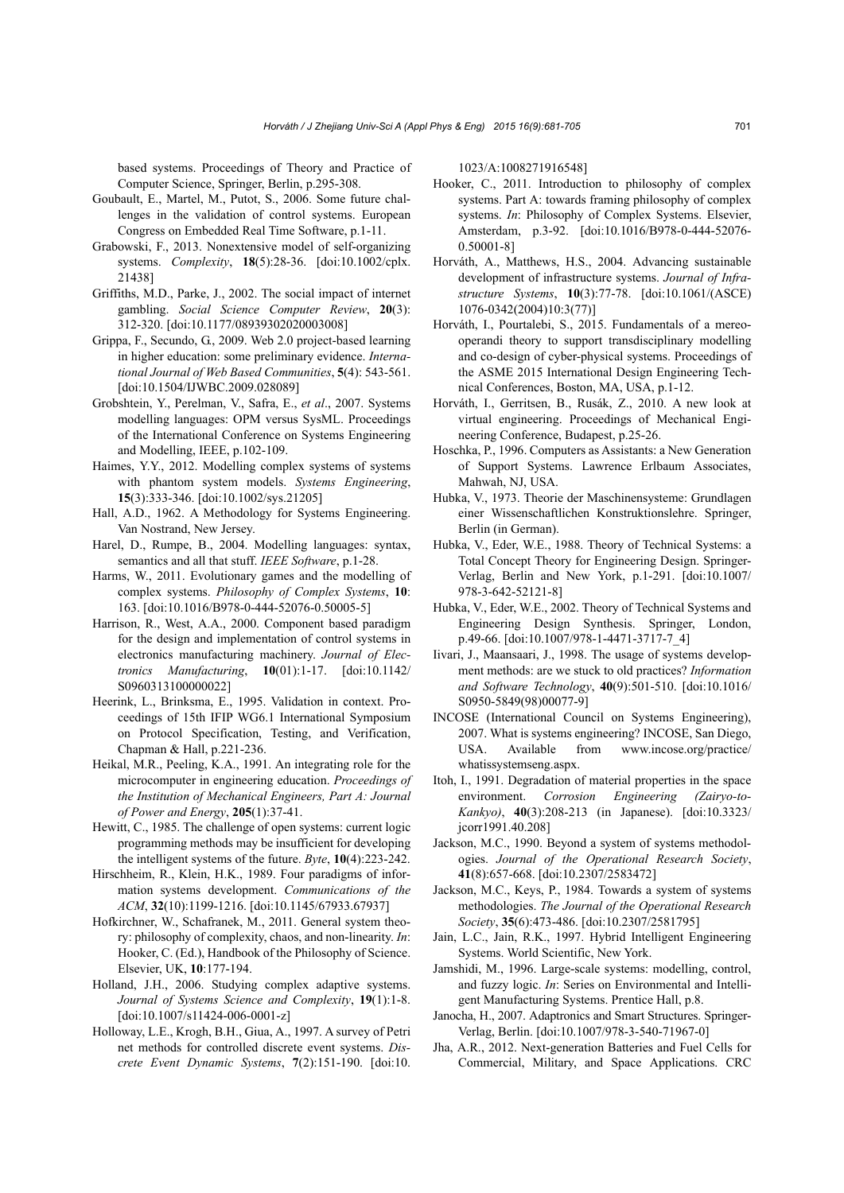based systems. Proceedings of Theory and Practice of Computer Science, Springer, Berlin, p.295-308.

- Goubault, E., Martel, M., Putot, S., 2006. Some future challenges in the validation of control systems. European Congress on Embedded Real Time Software, p.1-11.
- Grabowski, F., 2013. Nonextensive model of self-organizing systems. *Complexity*, **18**(5):28-36. [doi:10.1002/cplx. 21438]
- Griffiths, M.D., Parke, J., 2002. The social impact of internet gambling. *Social Science Computer Review*, **20**(3): 312-320. [doi:10.1177/08939302020003008]
- Grippa, F., Secundo, G., 2009. Web 2.0 project-based learning in higher education: some preliminary evidence. *International Journal of Web Based Communities*, **5**(4): 543-561. [doi:10.1504/IJWBC.2009.028089]
- Grobshtein, Y., Perelman, V., Safra, E., *et al*., 2007. Systems modelling languages: OPM versus SysML. Proceedings of the International Conference on Systems Engineering and Modelling, IEEE, p.102-109.
- Haimes, Y.Y., 2012. Modelling complex systems of systems with phantom system models. *Systems Engineering*, **15**(3):333-346. [doi:10.1002/sys.21205]
- Hall, A.D., 1962. A Methodology for Systems Engineering. Van Nostrand, New Jersey.
- Harel, D., Rumpe, B., 2004. Modelling languages: syntax, semantics and all that stuff. *IEEE Software*, p.1-28.
- Harms, W., 2011. Evolutionary games and the modelling of complex systems. *Philosophy of Complex Systems*, **10**: 163. [doi:10.1016/B978-0-444-52076-0.50005-5]
- Harrison, R., West, A.A., 2000. Component based paradigm for the design and implementation of control systems in electronics manufacturing machinery. *Journal of Electronics Manufacturing*, **10**(01):1-17. [doi:10.1142/ S0960313100000022]
- Heerink, L., Brinksma, E., 1995. Validation in context. Proceedings of 15th IFIP WG6.1 International Symposium on Protocol Specification, Testing, and Verification, Chapman & Hall, p.221-236.
- Heikal, M.R., Peeling, K.A., 1991. An integrating role for the microcomputer in engineering education. *Proceedings of the Institution of Mechanical Engineers, Part A: Journal of Power and Energy*, **205**(1):37-41.
- Hewitt, C., 1985. The challenge of open systems: current logic programming methods may be insufficient for developing the intelligent systems of the future. *Byte*, **10**(4):223-242.
- Hirschheim, R., Klein, H.K., 1989. Four paradigms of information systems development. *Communications of the ACM*, **32**(10):1199-1216. [doi:10.1145/67933.67937]
- Hofkirchner, W., Schafranek, M., 2011. General system theory: philosophy of complexity, chaos, and non-linearity. *In*: Hooker, C. (Ed.), Handbook of the Philosophy of Science. Elsevier, UK, **10**:177-194.
- Holland, J.H., 2006. Studying complex adaptive systems. *Journal of Systems Science and Complexity*, **19**(1):1-8. [doi:10.1007/s11424-006-0001-z]
- Holloway, L.E., Krogh, B.H., Giua, A., 1997. A survey of Petri net methods for controlled discrete event systems. *Discrete Event Dynamic Systems*, **7**(2):151-190. [doi:10.

1023/A:1008271916548]

- Hooker, C., 2011. Introduction to philosophy of complex systems. Part A: towards framing philosophy of complex systems. *In*: Philosophy of Complex Systems. Elsevier, Amsterdam, p.3-92. [doi:10.1016/B978-0-444-52076- 0.50001-8]
- Horváth, A., Matthews, H.S., 2004. Advancing sustainable development of infrastructure systems. *Journal of Infrastructure Systems*, **10**(3):77-78. [doi:10.1061/(ASCE) 1076-0342(2004)10:3(77)]
- Horváth, I., Pourtalebi, S., 2015. Fundamentals of a mereooperandi theory to support transdisciplinary modelling and co-design of cyber-physical systems. Proceedings of the ASME 2015 International Design Engineering Technical Conferences, Boston, MA, USA, p.1-12.
- Horváth, I., Gerritsen, B., Rusák, Z., 2010. A new look at virtual engineering. Proceedings of Mechanical Engineering Conference, Budapest, p.25-26.
- Hoschka, P., 1996. Computers as Assistants: a New Generation of Support Systems. Lawrence Erlbaum Associates, Mahwah, NJ, USA.
- Hubka, V., 1973. Theorie der Maschinensysteme: Grundlagen einer Wissenschaftlichen Konstruktionslehre. Springer, Berlin (in German).
- Hubka, V., Eder, W.E., 1988. Theory of Technical Systems: a Total Concept Theory for Engineering Design. Springer-Verlag, Berlin and New York, p.1-291. [doi:10.1007/ 978-3-642-52121-8]
- Hubka, V., Eder, W.E., 2002. Theory of Technical Systems and Engineering Design Synthesis. Springer, London, p.49-66. [doi:10.1007/978-1-4471-3717-7\_4]
- Iivari, J., Maansaari, J., 1998. The usage of systems development methods: are we stuck to old practices? *Information and Software Technology*, **40**(9):501-510. [doi:10.1016/ S0950-5849(98)00077-9]
- INCOSE (International Council on Systems Engineering), 2007. What is systems engineering? INCOSE, San Diego, USA. Available from www.incose.org/practice/ whatissystemseng.aspx.
- Itoh, I., 1991. Degradation of material properties in the space environment. *Corrosion Engineering (Zairyo-to-Kankyo)*, **40**(3):208-213 (in Japanese). [doi:10.3323/ jcorr1991.40.208]
- Jackson, M.C., 1990. Beyond a system of systems methodologies. *Journal of the Operational Research Society*, **41**(8):657-668. [doi:10.2307/2583472]
- Jackson, M.C., Keys, P., 1984. Towards a system of systems methodologies. *The Journal of the Operational Research Society*, **35**(6):473-486. [doi:10.2307/2581795]
- Jain, L.C., Jain, R.K., 1997. Hybrid Intelligent Engineering Systems. World Scientific, New York.
- Jamshidi, M., 1996. Large-scale systems: modelling, control, and fuzzy logic. *In*: Series on Environmental and Intelligent Manufacturing Systems. Prentice Hall, p.8.
- Janocha, H., 2007. Adaptronics and Smart Structures. Springer-Verlag, Berlin. [doi:10.1007/978-3-540-71967-0]
- Jha, A.R., 2012. Next-generation Batteries and Fuel Cells for Commercial, Military, and Space Applications. CRC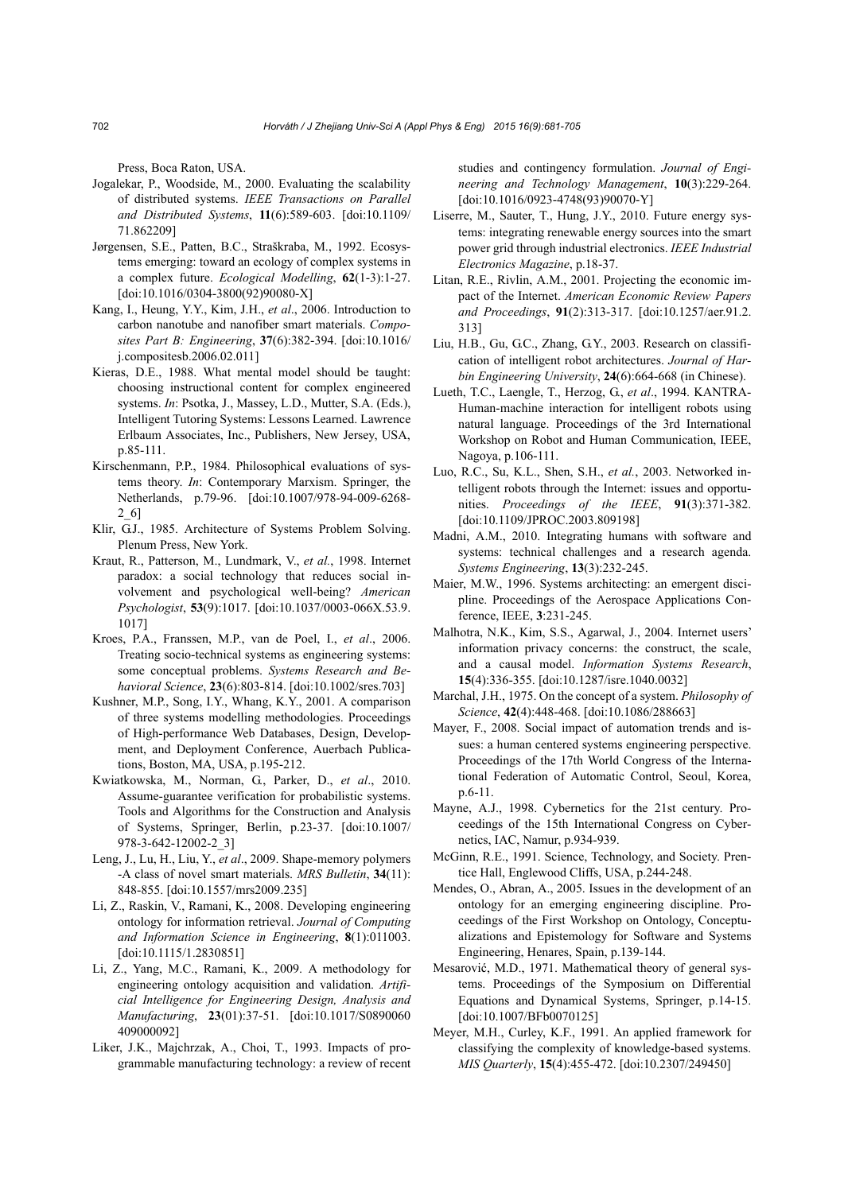Press, Boca Raton, USA.

- Jogalekar, P., Woodside, M., 2000. Evaluating the scalability of distributed systems. *IEEE Transactions on Parallel and Distributed Systems*, **11**(6):589-603. [doi:10.1109/ 71.862209]
- Jørgensen, S.E., Patten, B.C., Straškraba, M., 1992. Ecosystems emerging: toward an ecology of complex systems in a complex future. *Ecological Modelling*, **62**(1-3):1-27. [doi:10.1016/0304-3800(92)90080-X]
- Kang, I., Heung, Y.Y., Kim, J.H., *et al*., 2006. Introduction to carbon nanotube and nanofiber smart materials. *Composites Part B: Engineering*, **37**(6):382-394. [doi:10.1016/ j.compositesb.2006.02.011]
- Kieras, D.E., 1988. What mental model should be taught: choosing instructional content for complex engineered systems. *In*: Psotka, J., Massey, L.D., Mutter, S.A. (Eds.), Intelligent Tutoring Systems: Lessons Learned. Lawrence Erlbaum Associates, Inc., Publishers, New Jersey, USA, p.85-111.
- Kirschenmann, P.P., 1984. Philosophical evaluations of systems theory. *In*: Contemporary Marxism. Springer, the Netherlands, p.79-96. [doi:10.1007/978-94-009-6268- 2\_6]
- Klir, G.J., 1985. Architecture of Systems Problem Solving. Plenum Press, New York.
- Kraut, R., Patterson, M., Lundmark, V., *et al.*, 1998. Internet paradox: a social technology that reduces social involvement and psychological well-being? *American Psychologist*, **53**(9):1017. [doi:10.1037/0003-066X.53.9. 1017]
- Kroes, P.A., Franssen, M.P., van de Poel, I., *et al*., 2006. Treating socio-technical systems as engineering systems: some conceptual problems. *Systems Research and Behavioral Science*, **23**(6):803-814. [doi:10.1002/sres.703]
- Kushner, M.P., Song, I.Y., Whang, K.Y., 2001. A comparison of three systems modelling methodologies. Proceedings of High-performance Web Databases, Design, Development, and Deployment Conference, Auerbach Publications, Boston, MA, USA, p.195-212.
- Kwiatkowska, M., Norman, G., Parker, D., *et al*., 2010. Assume-guarantee verification for probabilistic systems. Tools and Algorithms for the Construction and Analysis of Systems, Springer, Berlin, p.23-37. [doi:10.1007/ 978-3-642-12002-2\_3]
- Leng, J., Lu, H., Liu, Y., *et al*., 2009. Shape-memory polymers -A class of novel smart materials. *MRS Bulletin*, **34**(11): 848-855. [doi:10.1557/mrs2009.235]
- Li, Z., Raskin, V., Ramani, K., 2008. Developing engineering ontology for information retrieval. *Journal of Computing and Information Science in Engineering*, **8**(1):011003. [doi:10.1115/1.2830851]
- Li, Z., Yang, M.C., Ramani, K., 2009. A methodology for engineering ontology acquisition and validation. *Artificial Intelligence for Engineering Design, Analysis and Manufacturing*, **23**(01):37-51. [doi:10.1017/S0890060 409000092]
- Liker, J.K., Majchrzak, A., Choi, T., 1993. Impacts of programmable manufacturing technology: a review of recent

studies and contingency formulation. *Journal of Engineering and Technology Management*, **10**(3):229-264. [doi:10.1016/0923-4748(93)90070-Y]

- Liserre, M., Sauter, T., Hung, J.Y., 2010. Future energy systems: integrating renewable energy sources into the smart power grid through industrial electronics. *IEEE Industrial Electronics Magazine*, p.18-37.
- Litan, R.E., Rivlin, A.M., 2001. Projecting the economic impact of the Internet. *American Economic Review Papers and Proceedings*, **91**(2):313-317. [doi:10.1257/aer.91.2. 313]
- Liu, H.B., Gu, G.C., Zhang, G.Y., 2003. Research on classification of intelligent robot architectures. *Journal of Harbin Engineering University*, **24**(6):664-668 (in Chinese).
- Lueth, T.C., Laengle, T., Herzog, G., *et al*., 1994. KANTRA-Human-machine interaction for intelligent robots using natural language. Proceedings of the 3rd International Workshop on Robot and Human Communication, IEEE, Nagoya, p.106-111.
- Luo, R.C., Su, K.L., Shen, S.H., *et al.*, 2003. Networked intelligent robots through the Internet: issues and opportunities. *Proceedings of the IEEE*, **91**(3):371-382. [doi:10.1109/JPROC.2003.809198]
- Madni, A.M., 2010. Integrating humans with software and systems: technical challenges and a research agenda. *Systems Engineering*, **13**(3):232-245.
- Maier, M.W., 1996. Systems architecting: an emergent discipline. Proceedings of the Aerospace Applications Conference, IEEE, **3**:231-245.
- Malhotra, N.K., Kim, S.S., Agarwal, J., 2004. Internet users' information privacy concerns: the construct, the scale, and a causal model. *Information Systems Research*, **15**(4):336-355. [doi:10.1287/isre.1040.0032]
- Marchal, J.H., 1975. On the concept of a system. *Philosophy of Science*, **42**(4):448-468. [doi:10.1086/288663]
- Mayer, F., 2008. Social impact of automation trends and issues: a human centered systems engineering perspective. Proceedings of the 17th World Congress of the International Federation of Automatic Control, Seoul, Korea, p.6-11.
- Mayne, A.J., 1998. Cybernetics for the 21st century. Proceedings of the 15th International Congress on Cybernetics, IAC, Namur, p.934-939.
- McGinn, R.E., 1991. Science, Technology, and Society. Prentice Hall, Englewood Cliffs, USA, p.244-248.
- Mendes, O., Abran, A., 2005. Issues in the development of an ontology for an emerging engineering discipline. Proceedings of the First Workshop on Ontology, Conceptualizations and Epistemology for Software and Systems Engineering, Henares, Spain, p.139-144.
- Mesarović, M.D., 1971. Mathematical theory of general systems. Proceedings of the Symposium on Differential Equations and Dynamical Systems, Springer, p.14-15. [doi:10.1007/BFb0070125]
- Meyer, M.H., Curley, K.F., 1991. An applied framework for classifying the complexity of knowledge-based systems. *MIS Quarterly*, **15**(4):455-472. [doi:10.2307/249450]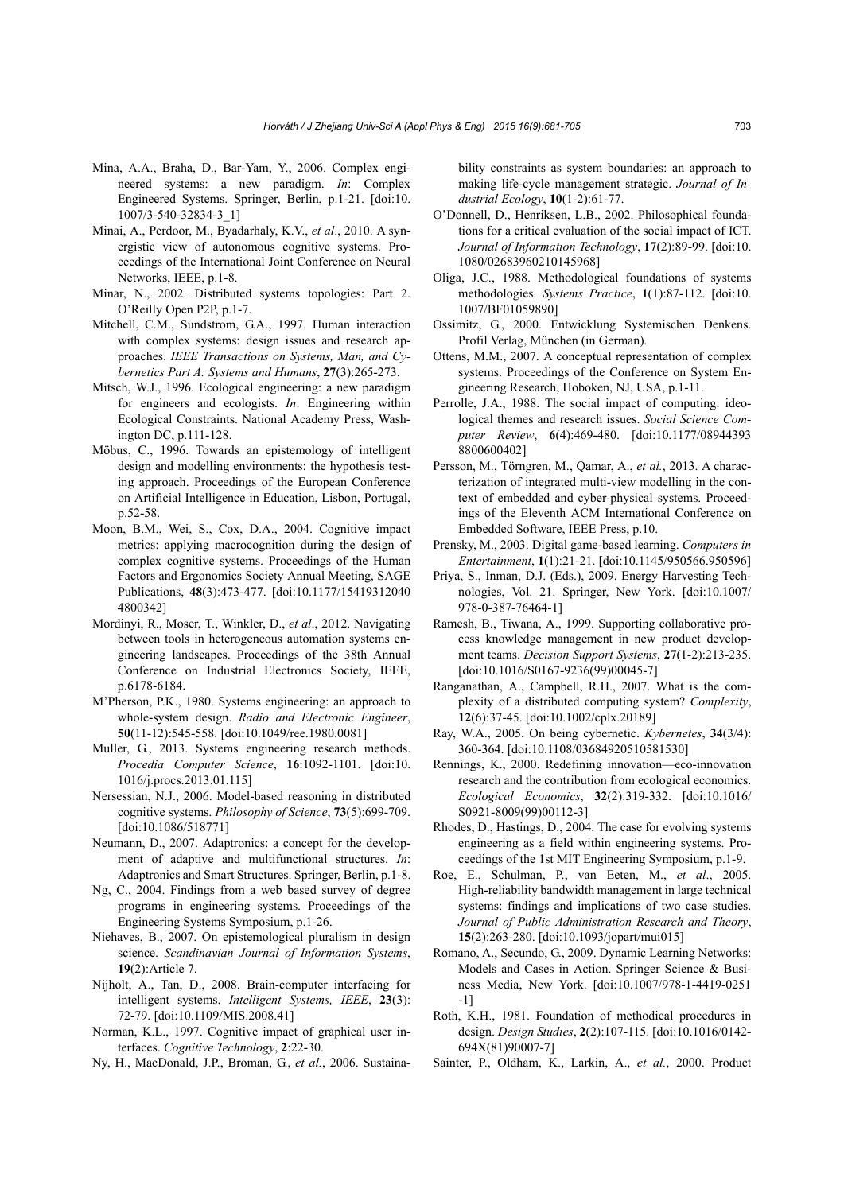- Mina, A.A., Braha, D., Bar-Yam, Y., 2006. Complex engineered systems: a new paradigm. *In*: Complex Engineered Systems. Springer, Berlin, p.1-21. [doi:10. 1007/3-540-32834-3\_1]
- Minai, A., Perdoor, M., Byadarhaly, K.V., *et al*., 2010. A synergistic view of autonomous cognitive systems. Proceedings of the International Joint Conference on Neural Networks, IEEE, p.1-8.
- Minar, N., 2002. Distributed systems topologies: Part 2. O'Reilly Open P2P, p.1-7.
- Mitchell, C.M., Sundstrom, G.A., 1997. Human interaction with complex systems: design issues and research approaches. *IEEE Transactions on Systems, Man, and Cybernetics Part A: Systems and Humans*, **27**(3):265-273.
- Mitsch, W.J., 1996. Ecological engineering: a new paradigm for engineers and ecologists. *In*: Engineering within Ecological Constraints. National Academy Press, Washington DC, p.111-128.
- Möbus, C., 1996. Towards an epistemology of intelligent design and modelling environments: the hypothesis testing approach. Proceedings of the European Conference on Artificial Intelligence in Education, Lisbon, Portugal, p.52-58.
- Moon, B.M., Wei, S., Cox, D.A., 2004. Cognitive impact metrics: applying macrocognition during the design of complex cognitive systems. Proceedings of the Human Factors and Ergonomics Society Annual Meeting, SAGE Publications, **48**(3):473-477. [doi:10.1177/15419312040 4800342]
- Mordinyi, R., Moser, T., Winkler, D., *et al*., 2012. Navigating between tools in heterogeneous automation systems engineering landscapes. Proceedings of the 38th Annual Conference on Industrial Electronics Society, IEEE, p.6178-6184.
- M'Pherson, P.K., 1980. Systems engineering: an approach to whole-system design. *Radio and Electronic Engineer*, **50**(11-12):545-558. [doi:10.1049/ree.1980.0081]
- Muller, G., 2013. Systems engineering research methods. *Procedia Computer Science*, **16**:1092-1101. [doi:10. 1016/j.procs.2013.01.115]
- Nersessian, N.J., 2006. Model-based reasoning in distributed cognitive systems. *Philosophy of Science*, **73**(5):699-709. [doi:10.1086/518771]
- Neumann, D., 2007. Adaptronics: a concept for the development of adaptive and multifunctional structures. *In*: Adaptronics and Smart Structures. Springer, Berlin, p.1-8.
- Ng, C., 2004. Findings from a web based survey of degree programs in engineering systems. Proceedings of the Engineering Systems Symposium, p.1-26.
- Niehaves, B., 2007. On epistemological pluralism in design science. *Scandinavian Journal of Information Systems*, **19**(2):Article 7.
- Nijholt, A., Tan, D., 2008. Brain-computer interfacing for intelligent systems. *Intelligent Systems, IEEE*, **23**(3): 72-79. [doi:10.1109/MIS.2008.41]
- Norman, K.L., 1997. Cognitive impact of graphical user interfaces. *Cognitive Technology*, **2**:22-30.
- Ny, H., MacDonald, J.P., Broman, G., *et al.*, 2006. Sustaina-

bility constraints as system boundaries: an approach to making life-cycle management strategic. *Journal of Industrial Ecology*, **10**(1-2):61-77.

- O'Donnell, D., Henriksen, L.B., 2002. Philosophical foundations for a critical evaluation of the social impact of ICT. *Journal of Information Technology*, **17**(2):89-99. [doi:10. 1080/02683960210145968]
- Oliga, J.C., 1988. Methodological foundations of systems methodologies. *Systems Practice*, **1**(1):87-112. [doi:10. 1007/BF01059890]
- Ossimitz, G., 2000. Entwicklung Systemischen Denkens. Profil Verlag, München (in German).
- Ottens, M.M., 2007. A conceptual representation of complex systems. Proceedings of the Conference on System Engineering Research, Hoboken, NJ, USA, p.1-11.
- Perrolle, J.A., 1988. The social impact of computing: ideological themes and research issues. *Social Science Computer Review*, **6**(4):469-480. [doi:10.1177/08944393 8800600402]
- Persson, M., Törngren, M., Qamar, A., *et al.*, 2013. A characterization of integrated multi-view modelling in the context of embedded and cyber-physical systems. Proceedings of the Eleventh ACM International Conference on Embedded Software, IEEE Press, p.10.
- Prensky, M., 2003. Digital game-based learning. *Computers in Entertainment*, **1**(1):21-21. [doi:10.1145/950566.950596]
- Priya, S., Inman, D.J. (Eds.), 2009. Energy Harvesting Technologies, Vol. 21. Springer, New York. [doi:10.1007/ 978-0-387-76464-1]
- Ramesh, B., Tiwana, A., 1999. Supporting collaborative process knowledge management in new product development teams. *Decision Support Systems*, **27**(1-2):213-235. [doi:10.1016/S0167-9236(99)00045-7]
- Ranganathan, A., Campbell, R.H., 2007. What is the complexity of a distributed computing system? *Complexity*, **12**(6):37-45. [doi:10.1002/cplx.20189]
- Ray, W.A., 2005. On being cybernetic. *Kybernetes*, **34**(3/4): 360-364. [doi:10.1108/03684920510581530]
- Rennings, K., 2000. Redefining innovation—eco-innovation research and the contribution from ecological economics. *Ecological Economics*, **32**(2):319-332. [doi:10.1016/ S0921-8009(99)00112-3]
- Rhodes, D., Hastings, D., 2004. The case for evolving systems engineering as a field within engineering systems. Proceedings of the 1st MIT Engineering Symposium, p.1-9.
- Roe, E., Schulman, P., van Eeten, M., *et al*., 2005. High-reliability bandwidth management in large technical systems: findings and implications of two case studies. *Journal of Public Administration Research and Theory*, **15**(2):263-280. [doi:10.1093/jopart/mui015]
- Romano, A., Secundo, G., 2009. Dynamic Learning Networks: Models and Cases in Action. Springer Science & Business Media, New York. [doi:10.1007/978-1-4419-0251 -1]
- Roth, K.H., 1981. Foundation of methodical procedures in design. *Design Studies*, **2**(2):107-115. [doi:10.1016/0142- 694X(81)90007-7]
- Sainter, P., Oldham, K., Larkin, A., *et al.*, 2000. Product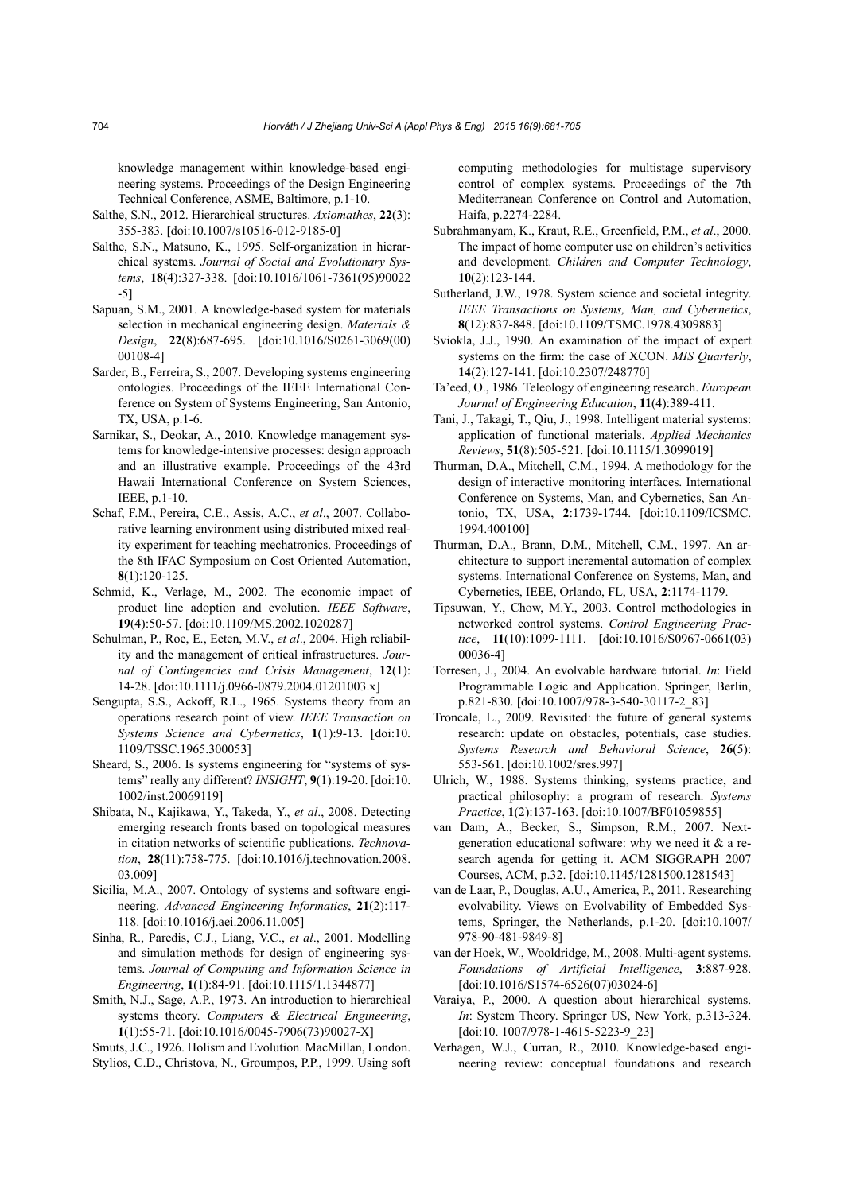knowledge management within knowledge-based engineering systems. Proceedings of the Design Engineering Technical Conference, ASME, Baltimore, p.1-10.

- Salthe, S.N., 2012. Hierarchical structures. *Axiomathes*, **22**(3): 355-383. [doi:10.1007/s10516-012-9185-0]
- Salthe, S.N., Matsuno, K., 1995. Self-organization in hierarchical systems. *Journal of Social and Evolutionary Systems*, **18**(4):327-338. [doi:10.1016/1061-7361(95)90022 -5]
- Sapuan, S.M., 2001. A knowledge-based system for materials selection in mechanical engineering design. *Materials & Design*, **22**(8):687-695. [doi:10.1016/S0261-3069(00) 00108-4]
- Sarder, B., Ferreira, S., 2007. Developing systems engineering ontologies. Proceedings of the IEEE International Conference on System of Systems Engineering, San Antonio, TX, USA, p.1-6.
- Sarnikar, S., Deokar, A., 2010. Knowledge management systems for knowledge-intensive processes: design approach and an illustrative example. Proceedings of the 43rd Hawaii International Conference on System Sciences, IEEE, p.1-10.
- Schaf, F.M., Pereira, C.E., Assis, A.C., *et al*., 2007. Collaborative learning environment using distributed mixed reality experiment for teaching mechatronics. Proceedings of the 8th IFAC Symposium on Cost Oriented Automation, **8**(1):120-125.
- Schmid, K., Verlage, M., 2002. The economic impact of product line adoption and evolution. *IEEE Software*, **19**(4):50-57. [doi:10.1109/MS.2002.1020287]
- Schulman, P., Roe, E., Eeten, M.V., *et al*., 2004. High reliability and the management of critical infrastructures. *Journal of Contingencies and Crisis Management*, **12**(1): 14-28. [doi:10.1111/j.0966-0879.2004.01201003.x]
- Sengupta, S.S., Ackoff, R.L., 1965. Systems theory from an operations research point of view. *IEEE Transaction on Systems Science and Cybernetics*, **1**(1):9-13. [doi:10. 1109/TSSC.1965.300053]
- Sheard, S., 2006. Is systems engineering for "systems of systems" really any different? *INSIGHT*, **9**(1):19-20. [doi:10. 1002/inst.20069119]
- Shibata, N., Kajikawa, Y., Takeda, Y., *et al*., 2008. Detecting emerging research fronts based on topological measures in citation networks of scientific publications. *Technovation*, **28**(11):758-775. [doi:10.1016/j.technovation.2008. 03.009]
- Sicilia, M.A., 2007. Ontology of systems and software engineering. *Advanced Engineering Informatics*, **21**(2):117- 118. [doi:10.1016/j.aei.2006.11.005]
- Sinha, R., Paredis, C.J., Liang, V.C., *et al*., 2001. Modelling and simulation methods for design of engineering systems. *Journal of Computing and Information Science in Engineering*, **1**(1):84-91. [doi:10.1115/1.1344877]
- Smith, N.J., Sage, A.P., 1973. An introduction to hierarchical systems theory. *Computers & Electrical Engineering*, **1**(1):55-71. [doi:10.1016/0045-7906(73)90027-X]

Smuts, J.C., 1926. Holism and Evolution. MacMillan, London. Stylios, C.D., Christova, N., Groumpos, P.P., 1999. Using soft computing methodologies for multistage supervisory control of complex systems. Proceedings of the 7th Mediterranean Conference on Control and Automation, Haifa, p.2274-2284.

- Subrahmanyam, K., Kraut, R.E., Greenfield, P.M., *et al*., 2000. The impact of home computer use on children's activities and development. *Children and Computer Technology*, **10**(2):123-144.
- Sutherland, J.W., 1978. System science and societal integrity. *IEEE Transactions on Systems, Man, and Cybernetics*, **8**(12):837-848. [doi:10.1109/TSMC.1978.4309883]
- Sviokla, J.J., 1990. An examination of the impact of expert systems on the firm: the case of XCON. *MIS Quarterly*, **14**(2):127-141. [doi:10.2307/248770]
- Ta'eed, O., 1986. Teleology of engineering research. *European Journal of Engineering Education*, **11**(4):389-411.
- Tani, J., Takagi, T., Qiu, J., 1998. Intelligent material systems: application of functional materials. *Applied Mechanics Reviews*, **51**(8):505-521. [doi:10.1115/1.3099019]
- Thurman, D.A., Mitchell, C.M., 1994. A methodology for the design of interactive monitoring interfaces. International Conference on Systems, Man, and Cybernetics, San Antonio, TX, USA, **2**:1739-1744. [doi:10.1109/ICSMC. 1994.400100]
- Thurman, D.A., Brann, D.M., Mitchell, C.M., 1997. An architecture to support incremental automation of complex systems. International Conference on Systems, Man, and Cybernetics, IEEE, Orlando, FL, USA, **2**:1174-1179.
- Tipsuwan, Y., Chow, M.Y., 2003. Control methodologies in networked control systems. *Control Engineering Practice*, **11**(10):1099-1111. [doi:10.1016/S0967-0661(03) 00036-4]
- Torresen, J., 2004. An evolvable hardware tutorial. *In*: Field Programmable Logic and Application. Springer, Berlin, p.821-830. [doi:10.1007/978-3-540-30117-2\_83]
- Troncale, L., 2009. Revisited: the future of general systems research: update on obstacles, potentials, case studies. *Systems Research and Behavioral Science*, **26**(5): 553-561. [doi:10.1002/sres.997]
- Ulrich, W., 1988. Systems thinking, systems practice, and practical philosophy: a program of research. *Systems Practice*, **1**(2):137-163. [doi:10.1007/BF01059855]
- van Dam, A., Becker, S., Simpson, R.M., 2007. Nextgeneration educational software: why we need it  $\&$  a research agenda for getting it. ACM SIGGRAPH 2007 Courses, ACM, p.32. [doi:10.1145/1281500.1281543]
- van de Laar, P., Douglas, A.U., America, P., 2011. Researching evolvability. Views on Evolvability of Embedded Systems, Springer, the Netherlands, p.1-20. [doi:10.1007/ 978-90-481-9849-8]
- van der Hoek, W., Wooldridge, M., 2008. Multi-agent systems. *Foundations of Artificial Intelligence*, **3**:887-928. [doi:10.1016/S1574-6526(07)03024-6]
- Varaiya, P., 2000. A question about hierarchical systems. *In*: System Theory. Springer US, New York, p.313-324. [doi:10. 1007/978-1-4615-5223-9\_23]
- Verhagen, W.J., Curran, R., 2010. Knowledge-based engineering review: conceptual foundations and research